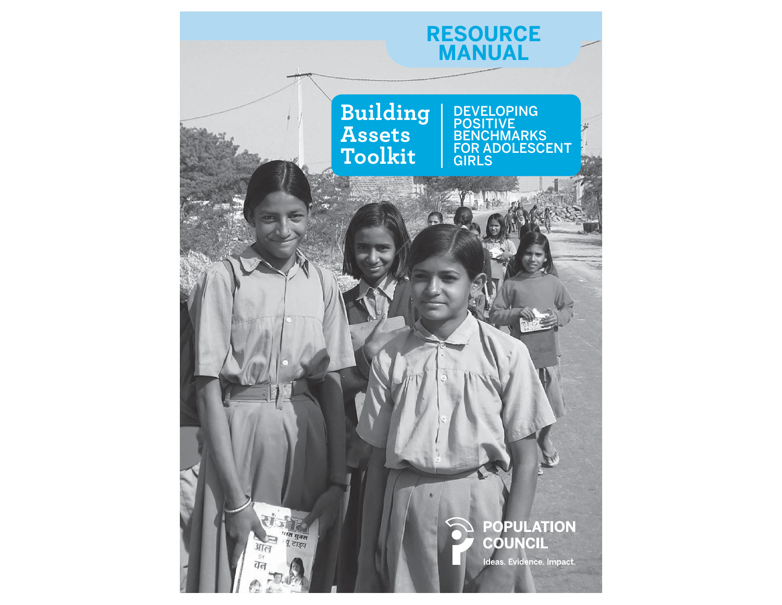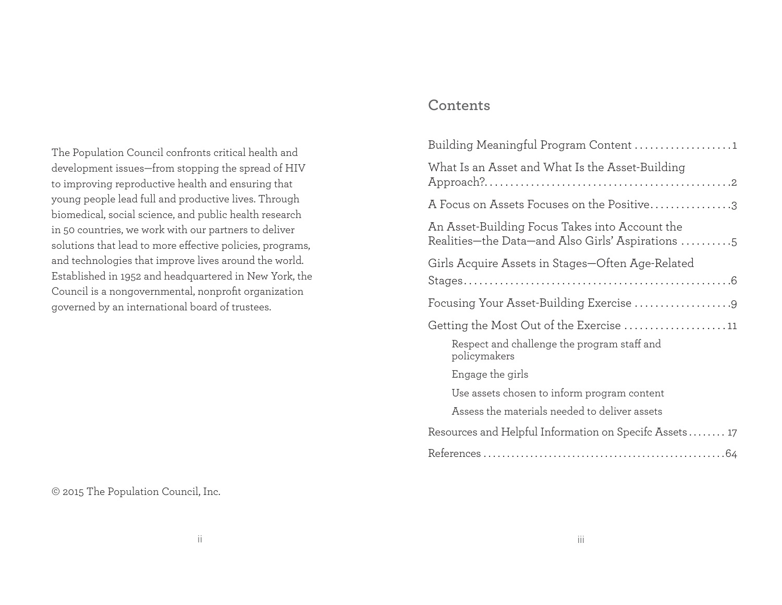The Population Council confronts critical health and development issues—from stopping the spread of HIV to improving reproductive health and ensuring that young people lead full and productive lives. Through biomedical, social science, and public health research in 50 countries, we work with our partners to deliver solutions that lead to more effective policies, programs, and technologies that improve lives around the world. Established in 1952 and headquartered in New York, the Council is a nongovernmental, nonprofit organization governed by an international board of trustees.

#### © 2015 The Population Council, Inc.

# **Contents**

| Building Meaningful Program Content 1                                                              |
|----------------------------------------------------------------------------------------------------|
| What Is an Asset and What Is the Asset-Building                                                    |
| A Focus on Assets Focuses on the Positive3                                                         |
| An Asset-Building Focus Takes into Account the<br>Realities-the Data-and Also Girls' Aspirations 5 |
| Girls Acquire Assets in Stages—Often Age-Related                                                   |
|                                                                                                    |
|                                                                                                    |
| Getting the Most Out of the Exercise 11                                                            |
| Respect and challenge the program staff and<br>policymakers                                        |
| Engage the girls                                                                                   |
| Use assets chosen to inform program content                                                        |
| Assess the materials needed to deliver assets                                                      |
| Resources and Helpful Information on Specifc Assets 17                                             |
|                                                                                                    |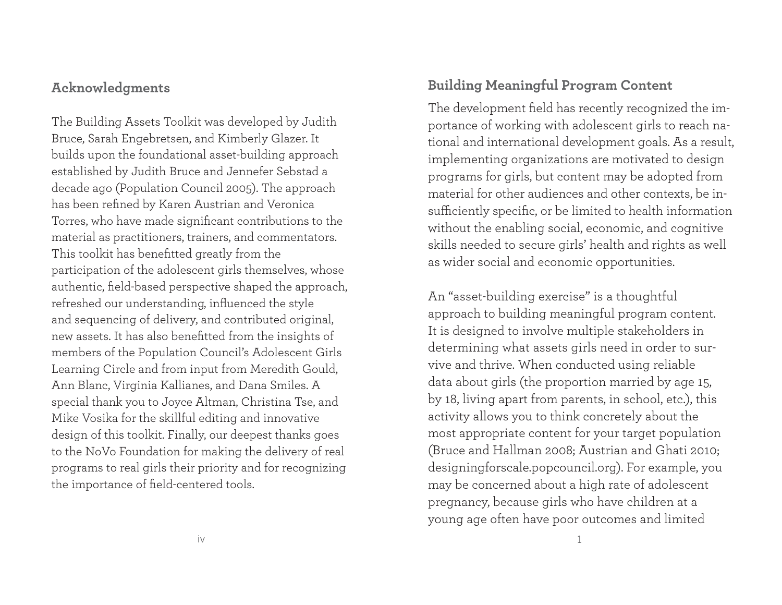# **Acknowledgments**

The Building Assets Toolkit was developed by Judith Bruce, Sarah Engebretsen, and Kimberly Glazer. It builds upon the foundational asset-building approach established by Judith Bruce and Jennefer Sebstad a decade ago (Population Council 2005). The approach has been refined by Karen Austrian and Veronica Torres, who have made significant contributions to the material as practitioners, trainers, and commentators. This toolkit has benefitted greatly from the participation of the adolescent girls themselves, whose authentic, field-based perspective shaped the approach, refreshed our understanding, influenced the style and sequencing of delivery, and contributed original, new assets. It has also benefitted from the insights of members of the Population Council's Adolescent Girls Learning Circle and from input from Meredith Gould, Ann Blanc, Virginia Kallianes, and Dana Smiles. A special thank you to Joyce Altman, Christina Tse, and Mike Vosika for the skillful editing and innovative design of this toolkit. Finally, our deepest thanks goes to the NoVo Foundation for making the delivery of real programs to real girls their priority and for recognizing the importance of field-centered tools.

# **Building Meaningful Program Content**

The development field has recently recognized the importance of working with adolescent girls to reach national and international development goals. As a result, implementing organizations are motivated to design programs for girls, but content may be adopted from material for other audiences and other contexts, be insufficiently specific, or be limited to health information without the enabling social, economic, and cognitive skills needed to secure girls' health and rights as well as wider social and economic opportunities.

An "asset-building exercise" is a thoughtful approach to building meaningful program content. It is designed to involve multiple stakeholders in determining what assets girls need in order to survive and thrive. When conducted using reliable data about girls (the proportion married by age 15, by 18, living apart from parents, in school, etc.), this activity allows you to think concretely about the most appropriate content for your target population (Bruce and Hallman 2008; Austrian and Ghati 2010; designingforscale.popcouncil.org). For example, you may be concerned about a high rate of adolescent pregnancy, because girls who have children at a young age often have poor outcomes and limited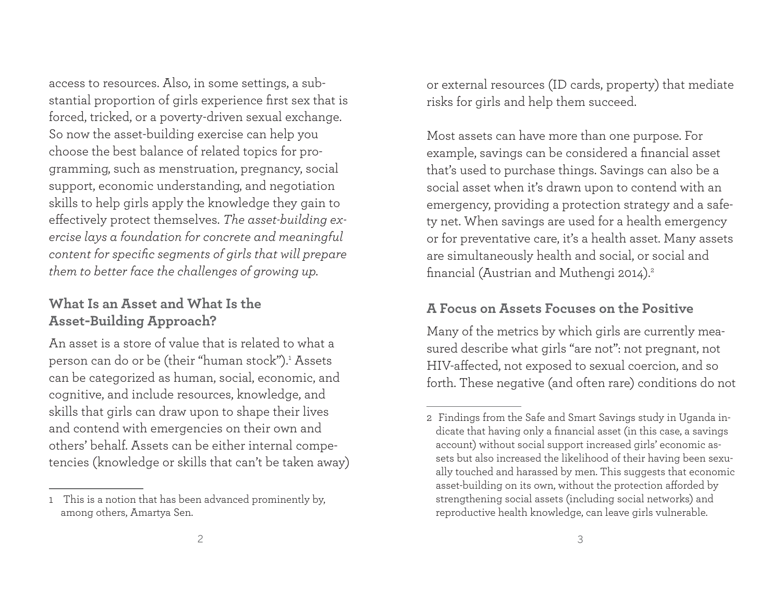access to resources. Also, in some settings, a substantial proportion of girls experience first sex that is forced, tricked, or a poverty-driven sexual exchange. So now the asset-building exercise can help you choose the best balance of related topics for programming, such as menstruation, pregnancy, social support, economic understanding, and negotiation skills to help girls apply the knowledge they gain to effectively protect themselves. The asset-building ex*ercise lays a foundation for concrete and meaningful content for specific segments of girls that will prepare them to better face the challenges of growing up.*

# **What Is an Asset and What Is the Asset-Building Approach?**

An asset is a store of value that is related to what a person can do or be (their "human stock").<sup>1</sup> Assets can be categorized as human, social, economic, and cognitive, and include resources, knowledge, and skills that girls can draw upon to shape their lives and contend with emergencies on their own and others' behalf. Assets can be either internal competencies (knowledge or skills that can't be taken away)

or external resources (ID cards, property) that mediate risks for girls and help them succeed.

Most assets can have more than one purpose. For example, savings can be considered a financial asset that's used to purchase things. Savings can also be a social asset when it's drawn upon to contend with an emergency, providing a protection strategy and a safety net. When savings are used for a health emergency or for preventative care, it's a health asset. Many assets are simultaneously health and social, or social and financial (Austrian and Muthengi 2014).<sup>2</sup>

# **A Focus on Assets Focuses on the Positive**

Many of the metrics by which girls are currently measured describe what girls "are not": not pregnant, not HIV-affected, not exposed to sexual coercion, and so forth. These negative (and often rare) conditions do not

<sup>1</sup> This is a notion that has been advanced prominently by, among others, Amartya Sen.

<sup>2</sup> Findings from the Safe and Smart Savings study in Uganda indicate that having only a financial asset (in this case, a savings account) without social support increased girls' economic assets but also increased the likelihood of their having been sexually touched and harassed by men. This suggests that economic asset-building on its own, without the protection afforded by strengthening social assets (including social networks) and reproductive health knowledge, can leave girls vulnerable.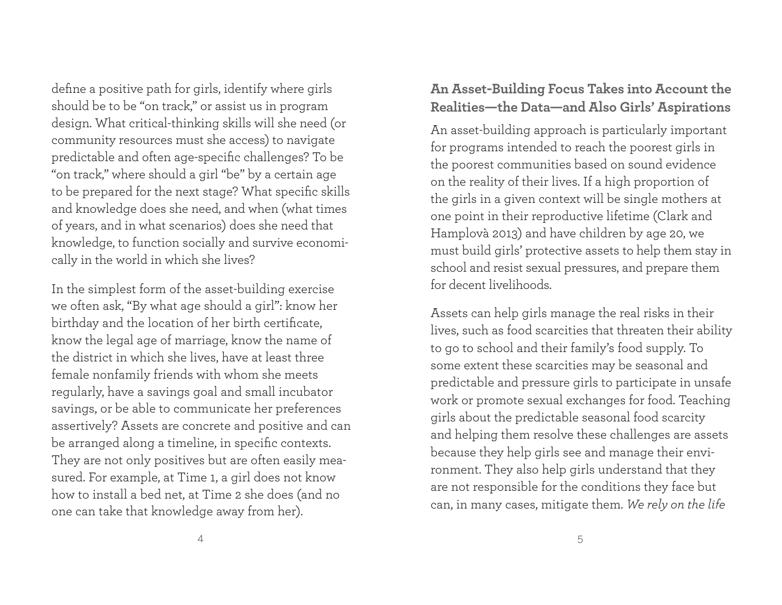define a positive path for girls, identify where girls should be to be "on track," or assist us in program design. What critical-thinking skills will she need (or community resources must she access) to navigate predictable and often age-specific challenges? To be "on track," where should a girl "be" by a certain age to be prepared for the next stage? What specific skills and knowledge does she need, and when (what times of years, and in what scenarios) does she need that knowledge, to function socially and survive economically in the world in which she lives?

In the simplest form of the asset-building exercise we often ask, "By what age should a girl": know her birthday and the location of her birth certificate, know the legal age of marriage, know the name of the district in which she lives, have at least three female nonfamily friends with whom she meets regularly, have a savings goal and small incubator savings, or be able to communicate her preferences assertively? Assets are concrete and positive and can be arranged along a timeline, in specific contexts. They are not only positives but are often easily measured. For example, at Time 1, a girl does not know how to install a bed net, at Time 2 she does (and no one can take that knowledge away from her).

# **An Asset-Building Focus Takes into Account the Realities—the Data—and Also Girls' Aspirations**

An asset-building approach is particularly important for programs intended to reach the poorest girls in the poorest communities based on sound evidence on the reality of their lives. If a high proportion of the girls in a given context will be single mothers at one point in their reproductive lifetime (Clark and Hamplovà 2013) and have children by age 20, we must build girls' protective assets to help them stay in school and resist sexual pressures, and prepare them for decent livelihoods.

Assets can help girls manage the real risks in their lives, such as food scarcities that threaten their ability to go to school and their family's food supply. To some extent these scarcities may be seasonal and predictable and pressure girls to participate in unsafe work or promote sexual exchanges for food. Teaching <sup>g</sup>irls about the predictable seasonal food scarcity and helping them resolve these challenges are assets because they help girls see and manage their environment. They also help girls understand that they are not responsible for the conditions they face but can, in many cases, mitigate them. *We rely on the life*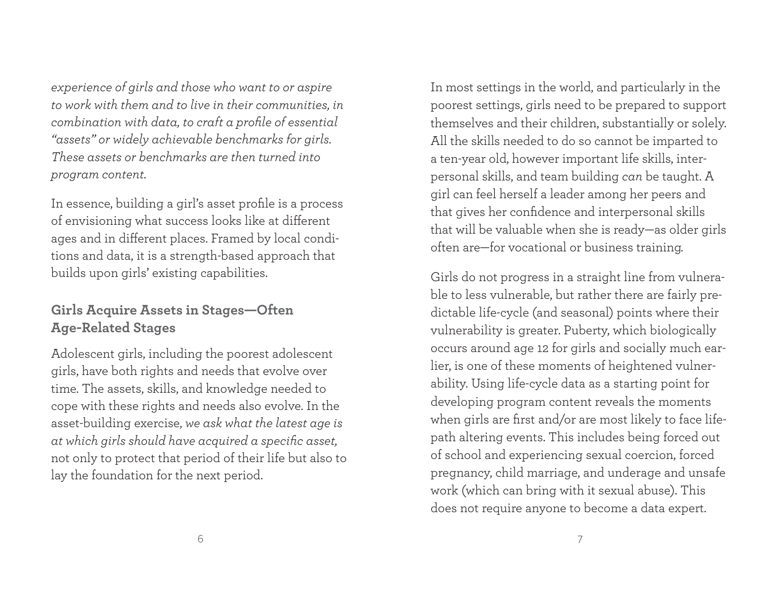*experience of girls and those who want to or aspire to work with them and to live in their communities, in combination with data, to craft a profi le of essential "assets" or widely achievable benchmarks for girls. These assets or benchmarks are then turned into program content.* 

In essence, building a girl's asset profile is a process of envisioning what success looks like at different ages and in different places. Framed by local conditions and data, it is a strength-based approach that builds upon girls' existing capabilities.

# **Girls Acquire Assets in Stages—Often Age-Related Stages**

Adolescent girls, including the poorest adolescent <sup>g</sup>irls, have both rights and needs that evolve over time. The assets, skills, and knowledge needed to cope with these rights and needs also evolve. In the asset-building exercise, *we ask what the latest age is at which girls should have acquired a specifi c asset,* not only to protect that period of their life but also to lay the foundation for the next period.

In most settings in the world, and particularly in the poorest settings, girls need to be prepared to support themselves and their children, substantially or solely. All the skills needed to do so cannot be imparted to a ten-year old, however important life skills, interpersonal skills, and team building *can* be taught. A <sup>g</sup>irl can feel herself a leader among her peers and that gives her confidence and interpersonal skills that will be valuable when she is ready—as older girls often are—for vocational or business training.

Girls do not progress in a straight line from vulnerable to less vulnerable, but rather there are fairly predictable life-cycle (and seasonal) points where their vulnerability is greater. Puberty, which biologically occurs around age 12 for girls and socially much earlier, is one of these moments of heightened vulnerability. Using life-cycle data as a starting point for developing program content reveals the moments when girls are first and/or are most likely to face lifepath altering events. This includes being forced out of school and experiencing sexual coercion, forced pregnancy, child marriage, and underage and unsafe work (which can bring with it sexual abuse). This does not require anyone to become a data expert.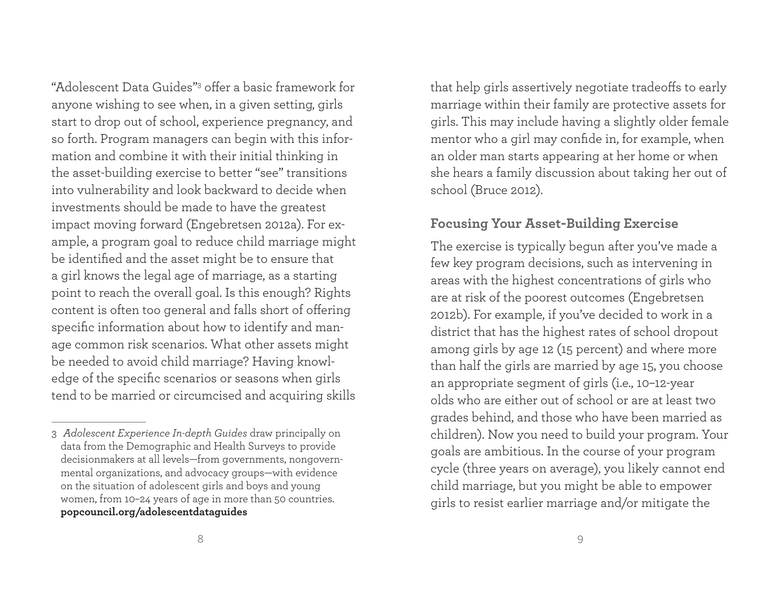"Adolescent Data Guides"<sup>3</sup> offer a basic framework for anyone wishing to see when, in a given setting, girls start to drop out of school, experience pregnancy, and so forth. Program managers can begin with this information and combine it with their initial thinking in the asset-building exercise to better "see" transitions into vulnerability and look backward to decide when investments should be made to have the greatest impact moving forward (Engebretsen 2012a). For example, a program goal to reduce child marriage might be identified and the asset might be to ensure that a girl knows the legal age of marriage, as a starting point to reach the overall goal. Is this enough? Rights content is often too general and falls short of offering specific information about how to identify and manage common risk scenarios. What other assets might be needed to avoid child marriage? Having knowledge of the specific scenarios or seasons when girls tend to be married or circumcised and acquiring skills

that help girls assertively negotiate tradeoffs to early marriage within their family are protective assets for <sup>g</sup>irls. This may include having a slightly older female mentor who a girl may confide in, for example, when an older man starts appearing at her home or when she hears a family discussion about taking her out of school (Bruce 2012).

# **Focusing Your Asset-Building Exercise**

The exercise is typically begun after you've made a few key program decisions, such as intervening in areas with the highest concentrations of girls who are at risk of the poorest outcomes (Engebretsen 2012b). For example, if you've decided to work in a district that has the highest rates of school dropout among girls by age 12 (15 percent) and where more than half the girls are married by age 15, you choose an appropriate segment of girls (i.e., 10–12-year olds who are either out of school or are at least two grades behind, and those who have been married as children). Now you need to build your program. Your goals are ambitious. In the course of your program cycle (three years on average), you likely cannot end child marriage, but you might be able to empower <sup>g</sup>irls to resist earlier marriage and/or mitigate the

<sup>3</sup>*Adolescent Experience In-depth Guides* draw principally on data from the Demographic and Health Surveys to provide decisionmakers at all levels—from governments, nongovernmental organizations, and advocacy groups—with evidence on the situation of adolescent girls and boys and young women, from 10–24 years of age in more than 50 countries. **popcouncil.org/adolescentdataguides**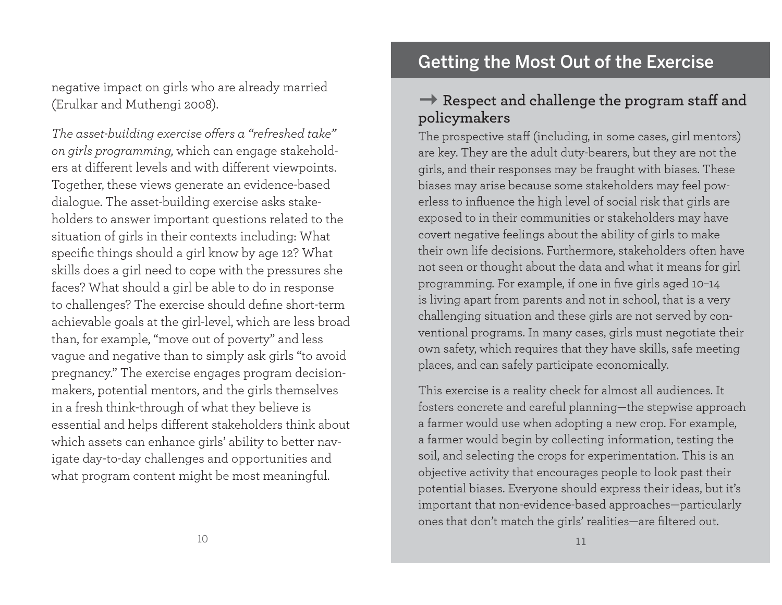negative impact on girls who are already married (Erulkar and Muthengi 2008).

The asset-building exercise offers a "refreshed take" *on girls programming,* which can engage stakeholders at different levels and with different viewpoints. Together, these views generate an evidence-based dialogue. The asset-building exercise asks stakeholders to answer important questions related to the situation of girls in their contexts including: What specific things should a girl know by age 12? What skills does a girl need to cope with the pressures she faces? What should a girl be able to do in response to challenges? The exercise should define short-term achievable goals at the girl-level, which are less broad than, for example, "move out of poverty" and less vague and negative than to simply ask girls "to avoid pregnancy." The exercise engages program decisionmakers, potential mentors, and the girls themselves in a fresh think-through of what they believe is essential and helps different stakeholders think about which assets can enhance girls' ability to better navigate day-to-day challenges and opportunities and what program content might be most meaningful.

# Getting the Most Out of the Exercise

# **→ Respect and challenge the program staff and policymakers**

The prospective staff (including, in some cases, girl mentors) are key. They are the adult duty-bearers, but they are not the <sup>g</sup>irls, and their responses may be fraught with biases. These biases may arise because some stakeholders may feel powerless to influence the high level of social risk that girls are exposed to in their communities or stakeholders may have covert negative feelings about the ability of girls to make their own life decisions. Furthermore, stakeholders often have not seen or thought about the data and what it means for girl programming. For example, if one in five girls aged 10-14 is living apart from parents and not in school, that is a very challenging situation and these girls are not served by conventional programs. In many cases, girls must negotiate their own safety, which requires that they have skills, safe meeting <sup>p</sup>laces, and can safely participate economically.

This exercise is a reality check for almost all audiences. It fosters concrete and careful planning—the stepwise approach a farmer would use when adopting a new crop. For example, a farmer would begin by collecting information, testing the soil, and selecting the crops for experimentation. This is an objective activity that encourages people to look past their potential biases. Everyone should express their ideas, but it's important that non-evidence-based approaches—particularly ones that don't match the girls' realities—are filtered out.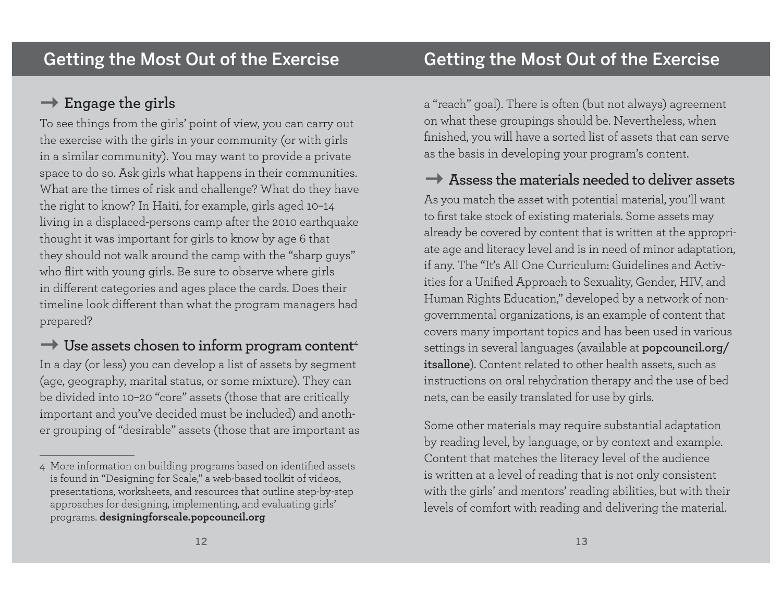# **Engage the girls**

To see things from the girls' point of view, you can carry out the exercise with the girls in your community (or with girls in a similar community). You may want to provide a private space to do so. Ask girls what happens in their communities. What are the times of risk and challenge? What do they have the right to know? In Haiti, for example, girls aged 10–14 living in a displaced-persons camp after the 2010 earthquake thought it was important for girls to know by age 6 that they should not walk around the camp with the "sharp guys" who flirt with young girls. Be sure to observe where girls in different categories and ages place the cards. Does their timeline look different than what the program managers had prepared?

 $\rightarrow$  Use assets chosen to inform program content<sup>4</sup>

In a day (or less) you can develop a list of assets by segment (age, geography, marital status, or some mixture). They can be divided into 10–20 "core" assets (those that are critically important and you've decided must be included) and another grouping of "desirable" assets (those that are important as <sup>a</sup>"reach" goal). There is often (but not always) agreement on what these groupings should be. Nevertheless, when finished, you will have a sorted list of assets that can serve as the basis in developing your program's content.

# **Assess the materials needed to deliver assets**

As you match the asset with potential material, you'll want to first take stock of existing materials. Some assets may already be covered by content that is written at the appropriate age and literacy level and is in need of minor adaptation, if any. The "It's All One Curriculum: Guidelines and Activities for a Unified Approach to Sexuality, Gender, HIV, and Human Rights Education," developed by a network of nongovernmental organizations, is an example of content that covers many important topics and has been used in various settings in several languages (available at **popcouncil.org/ itsallone**). Content related to other health assets, such as instructions on oral rehydration therapy and the use of bed nets, can be easily translated for use by girls.

Some other materials may require substantial adaptation by reading level, by language, or by context and example. Content that matches the literacy level of the audience is written at a level of reading that is not only consistent with the girls' and mentors' reading abilities, but with their levels of comfort with reading and delivering the material.

<sup>4</sup> More information on building programs based on identified assets is found in "Designing for Scale," a web-based toolkit of videos, presentations, worksheets, and resources that outline step-by-step approaches for designing, implementing, and evaluating girls' programs. **designingforscale.popcouncil.org**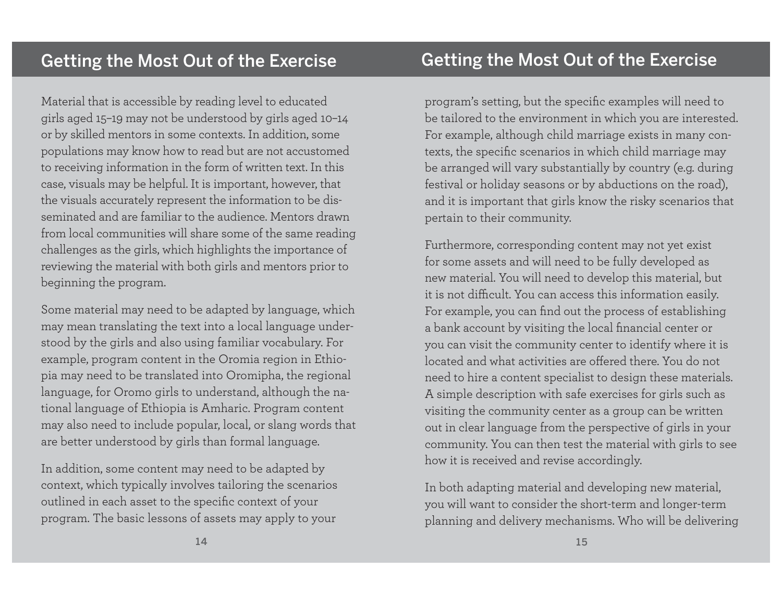Material that is accessible by reading level to educated <sup>g</sup>irls aged 15–19 may not be understood by girls aged 10–14 or by skilled mentors in some contexts. In addition, some populations may know how to read but are not accustomed to receiving information in the form of written text. In this case, visuals may be helpful. It is important, however, that the visuals accurately represent the information to be disseminated and are familiar to the audience. Mentors drawn from local communities will share some of the same reading challenges as the girls, which highlights the importance of reviewing the material with both girls and mentors prior to beginning the program.

Some material may need to be adapted by language, which may mean translating the text into a local language understood by the girls and also using familiar vocabulary. For example, program content in the Oromia region in Ethio<sup>p</sup>ia may need to be translated into Oromipha, the regional language, for Oromo girls to understand, although the national language of Ethiopia is Amharic. Program content may also need to include popular, local, or slang words that are better understood by girls than formal language.

In addition, some content may need to be adapted by context, which typically involves tailoring the scenarios outlined in each asset to the specific context of your program. The basic lessons of assets may apply to your

program's setting, but the specific examples will need to be tailored to the environment in which you are interested. For example, although child marriage exists in many contexts, the specific scenarios in which child marriage may be arranged will vary substantially by country (e.g. during festival or holiday seasons or by abductions on the road), and it is important that girls know the risky scenarios that pertain to their community.

Furthermore, corresponding content may not yet exist for some assets and will need to be fully developed as new material. You will need to develop this material, but it is not difficult. You can access this information easily. For example, you can find out the process of establishing a bank account by visiting the local financial center or you can visit the community center to identify where it is located and what activities are offered there. You do not need to hire a content specialist to design these materials. A simple description with safe exercises for girls such as visiting the community center as a group can be written out in clear language from the perspective of girls in your community. You can then test the material with girls to see how it is received and revise accordingly.

In both adapting material and developing new material, you will want to consider the short-term and longer-term <sup>p</sup>lanning and delivery mechanisms. Who will be delivering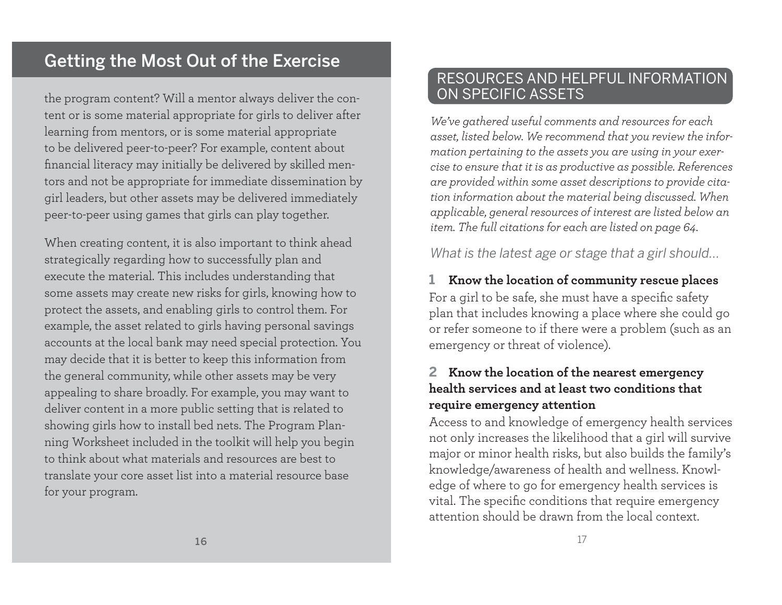# Getting the Most Out of the Exercise

the program content? Will a mentor always deliver the content or is some material appropriate for girls to deliver after learning from mentors, or is some material appropriate to be delivered peer-to-peer? For example, content about financial literacy may initially be delivered by skilled mentors and not be appropriate for immediate dissemination by <sup>g</sup>irl leaders, but other assets may be delivered immediately peer-to-peer using games that girls can play together.

When creating content, it is also important to think ahead strategically regarding how to successfully plan and execute the material. This includes understanding that some assets may create new risks for girls, knowing how to protect the assets, and enabling girls to control them. For example, the asset related to girls having personal savings accounts at the local bank may need special protection. You may decide that it is better to keep this information from the general community, while other assets may be very appealing to share broadly. For example, you may want to deliver content in a more public setting that is related to showing girls how to install bed nets. The Program Planning Worksheet included in the toolkit will help you begin to think about what materials and resources are best to translate your core asset list into a material resource base for your program.

# RESOURCES AND HELPFUL INFORMATION ON SPECIFIC ASSETS

*We've gathered useful comments and resources for each asset, listed below. We recommend that you review the information pertaining to the assets you are using in your exercise to ensure that it is as productive as possible. References are provided within some asset descriptions to provide citation information about the material being discussed. When applicable, general resources of interest are listed below an item. The full citations for each are listed on page 64.*

*What is the latest age or stage that a girl should...*

# **1 Know the location of community rescue places** For a girl to be safe, she must have a specific safety <sup>p</sup>lan that includes knowing a place where she could go or refer someone to if there were a problem (such as an emergency or threat of violence).

### **2 Know the location of the nearest emergency health services and at least two conditions that require emergency attention**

Access to and knowledge of emergency health services not only increases the likelihood that a girl will survive major or minor health risks, but also builds the family's knowledge/awareness of health and wellness. Knowledge of where to go for emergency health services is vital. The specific conditions that require emergency attention should be drawn from the local context.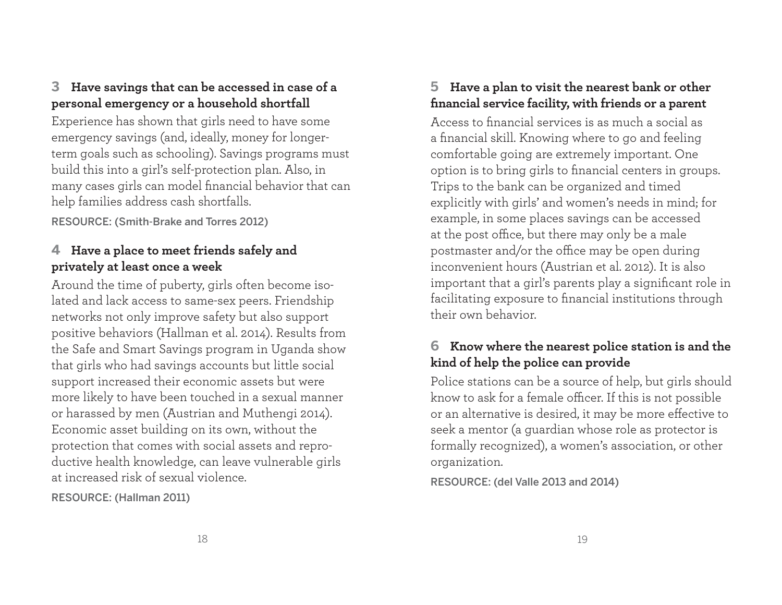# **3 Have savings that can be accessed in case of a personal emergency or a household shortfall**

Experience has shown that girls need to have some emergency savings (and, ideally, money for longerterm goals such as schooling). Savings programs must build this into a girl's self-protection plan. Also, in many cases girls can model financial behavior that can help families address cash shortfalls.

RESOURCE: (Smith-Brake and Torres 2012)

# **4 Have a place to meet friends safely and privately at least once a week**

Around the time of puberty, girls often become isolated and lack access to same-sex peers. Friendship networks not only improve safety but also support positive behaviors (Hallman et al. 2014). Results from the Safe and Smart Savings program in Uganda show that girls who had savings accounts but little social support increased their economic assets but were more likely to have been touched in a sexual manner or harassed by men (Austrian and Muthengi 2014). Economic asset building on its own, without the protection that comes with social assets and reproductive health knowledge, can leave vulnerable girls at increased risk of sexual violence.

RESOURCE: (Hallman 2011)

# **5 Have a plan to visit the nearest bank or other**  financial service facility, with friends or a parent

Access to financial services is as much a social as a financial skill. Knowing where to go and feeling comfortable going are extremely important. One option is to bring girls to financial centers in groups. Trips to the bank can be organized and timed explicitly with girls' and women's needs in mind; for example, in some places savings can be accessed at the post office, but there may only be a male postmaster and/or the office may be open during inconvenient hours (Austrian et al. 2012). It is also important that a girl's parents play a significant role in facilitating exposure to financial institutions through their own behavior.

# **6 Know where the nearest police station is and the kind of help the police can provide**

Police stations can be a source of help, but girls should know to ask for a female officer. If this is not possible or an alternative is desired, it may be more effective to seek a mentor (a guardian whose role as protector is formally recognized), a women's association, or other organization.

RESOURCE: (del Valle 2013 and 2014)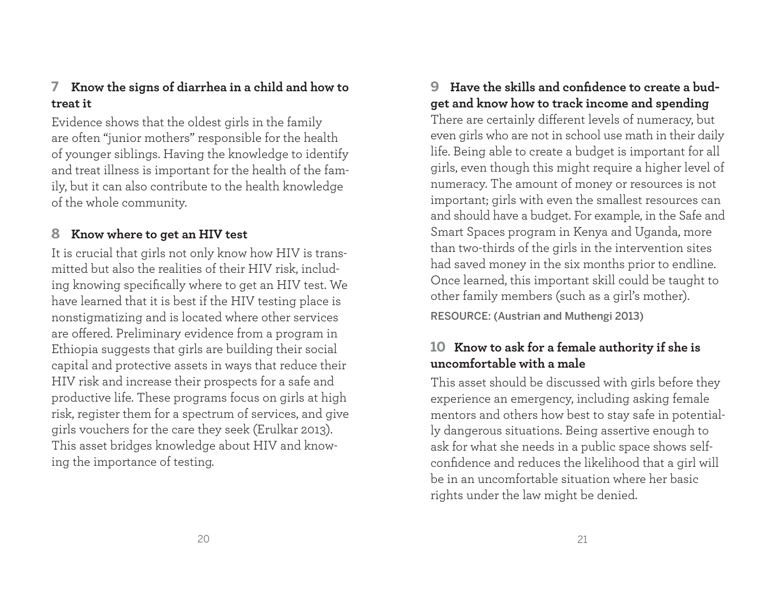# **7 Know the signs of diarrhea in a child and how to treat it**

Evidence shows that the oldest girls in the family are often "junior mothers" responsible for the health of younger siblings. Having the knowledge to identify and treat illness is important for the health of the family, but it can also contribute to the health knowledge of the whole community.

# **8 Know where to get an HIV test**

It is crucial that girls not only know how HIV is transmitted but also the realities of their HIV risk, including knowing specifically where to get an HIV test. We have learned that it is best if the HIV testing place is nonstigmatizing and is located where other services are offered. Preliminary evidence from a program in Ethiopia suggests that girls are building their social capital and protective assets in ways that reduce their HIV risk and increase their prospects for a safe and productive life. These programs focus on girls at high risk, register them for a spectrum of services, and give <sup>g</sup>irls vouchers for the care they seek (Erulkar 2013). This asset bridges knowledge about HIV and knowing the importance of testing.

# 9 Have the skills and confidence to create a bud**get and know how to track income and spending**

There are certainly different levels of numeracy, but even girls who are not in school use math in their daily life. Being able to create a budget is important for all <sup>g</sup>irls, even though this might require a higher level of numeracy. The amount of money or resources is not important; girls with even the smallest resources can and should have a budget. For example, in the Safe and Smart Spaces program in Kenya and Uganda, more than two-thirds of the girls in the intervention sites had saved money in the six months prior to endline. Once learned, this important skill could be taught to other family members (such as a girl's mother).

RESOURCE: (Austrian and Muthengi 2013)

# **10 Know to ask for a female authority if she is uncomfortable with a male**

This asset should be discussed with girls before they experience an emergency, including asking female mentors and others how best to stay safe in potentially dangerous situations. Being assertive enough to ask for what she needs in a public space shows selfconfidence and reduces the likelihood that a girl will be in an uncomfortable situation where her basic rights under the law might be denied.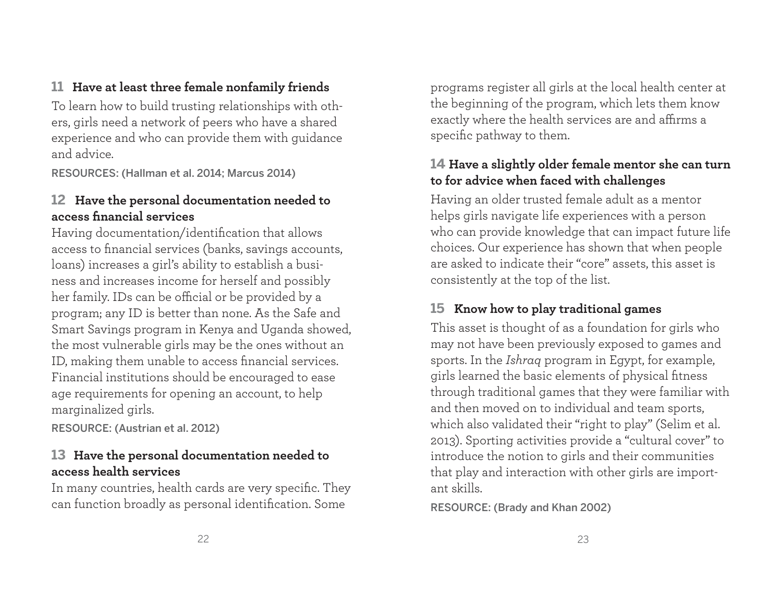# **11 Have at least three female nonfamily friends**

To learn how to build trusting relationships with others, girls need a network of peers who have a shared experience and who can provide them with guidance and advice.

RESOURCES: (Hallman et al. 2014; Marcus 2014)

# **12 Have the personal documentation needed to access fi nancial services**

Having documentation/identification that allows access to financial services (banks, savings accounts, loans) increases a girl's ability to establish a business and increases income for herself and possibly her family. IDs can be official or be provided by a program; any ID is better than none. As the Safe and Smart Savings program in Kenya and Uganda showed, the most vulnerable girls may be the ones without an ID, making them unable to access financial services. Financial institutions should be encouraged to ease age requirements for opening an account, to help marginalized girls.

RESOURCE: (Austrian et al. 2012)

# **13 Have the personal documentation needed to access health services**

In many countries, health cards are very specific. They can function broadly as personal identification. Some

programs register all girls at the local health center at the beginning of the program, which lets them know exactly where the health services are and affirms a specific pathway to them.

# **14 Have a slightly older female mentor she can turn to for advice when faced with challenges**

Having an older trusted female adult as a mentor helps girls navigate life experiences with a person who can provide knowledge that can impact future life choices. Our experience has shown that when people are asked to indicate their "core" assets, this asset is consistently at the top of the list.

# **15 Know how to play traditional games**

This asset is thought of as a foundation for girls who may not have been previously exposed to games and sports. In the *Ishraq* program in Egypt, for example, girls learned the basic elements of physical fitness through traditional games that they were familiar with and then moved on to individual and team sports, which also validated their "right to play" (Selim et al. 2013). Sporting activities provide a "cultural cover" to introduce the notion to girls and their communities that play and interaction with other girls are important skills.

RESOURCE: (Brady and Khan 2002)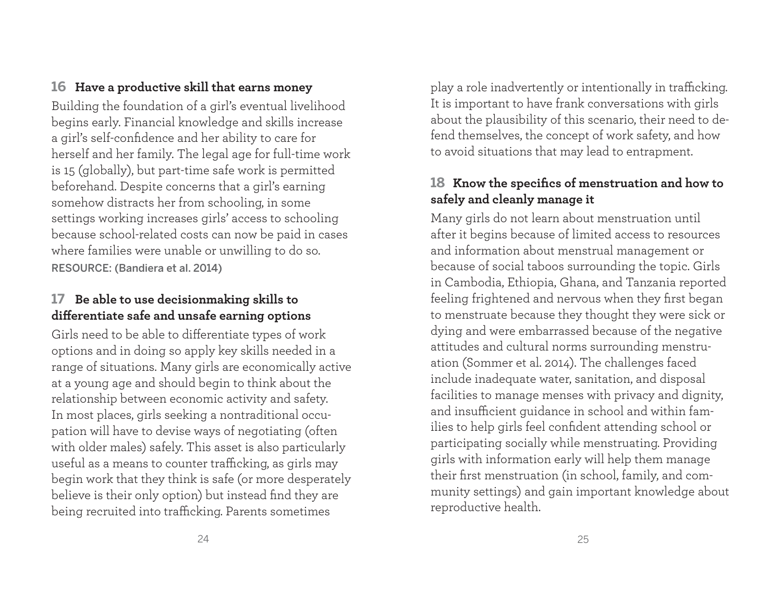#### **16 Have a productive skill that earns money**

Building the foundation of a girl's eventual livelihood begins early. Financial knowledge and skills increase a girl's self-confidence and her ability to care for herself and her family. The legal age for full-time work is 15 (globally), but part-time safe work is permitted beforehand. Despite concerns that a girl's earning somehow distracts her from schooling, in some settings working increases girls' access to schooling because school-related costs can now be paid in cases where families were unable or unwilling to do so. RESOURCE: (Bandiera et al. 2014)

# **17 Be able to use decisionmaking skills to diff erentiate safe and unsafe earning options**

Girls need to be able to differentiate types of work options and in doing so apply key skills needed in a range of situations. Many girls are economically active at a young age and should begin to think about the relationship between economic activity and safety. In most places, girls seeking a nontraditional occupation will have to devise ways of negotiating (often with older males) safely. This asset is also particularly useful as a means to counter trafficking, as girls may begin work that they think is safe (or more desperately believe is their only option) but instead find they are being recruited into trafficking. Parents sometimes

play a role inadvertently or intentionally in trafficking. It is important to have frank conversations with girls about the plausibility of this scenario, their need to defend themselves, the concept of work safety, and how to avoid situations that may lead to entrapment.

# 18 Know the specifics of menstruation and how to **safely and cleanly manage it**

Many girls do not learn about menstruation until after it begins because of limited access to resources and information about menstrual management or because of social taboos surrounding the topic. Girls in Cambodia, Ethiopia, Ghana, and Tanzania reported feeling frightened and nervous when they first began to menstruate because they thought they were sick or dying and were embarrassed because of the negative attitudes and cultural norms surrounding menstruation (Sommer et al. 2014). The challenges faced include inadequate water, sanitation, and disposal facilities to manage menses with privacy and dignity, and insufficient guidance in school and within families to help girls feel confident attending school or participating socially while menstruating. Providing <sup>g</sup>irls with information early will help them manage their first menstruation (in school, family, and community settings) and gain important knowledge about reproductive health.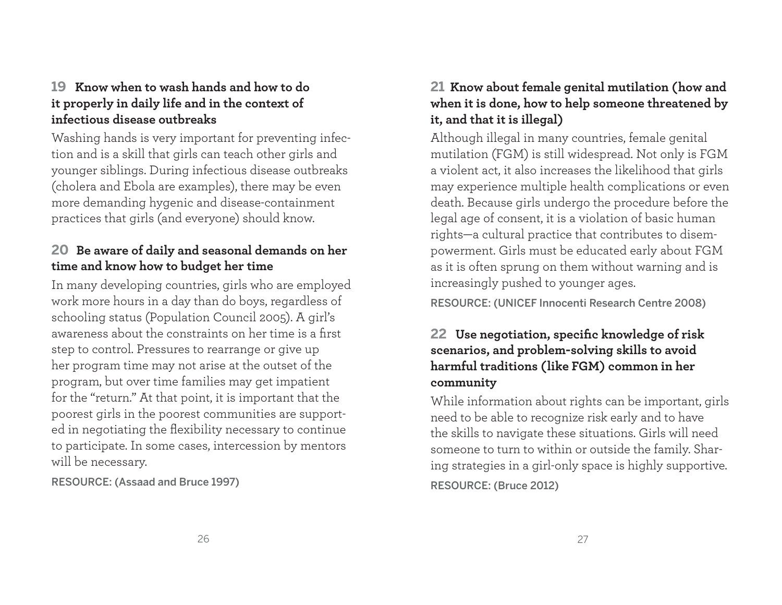# **19 Know when to wash hands and how to do it properly in daily life and in the context of infectious disease outbreaks**

Washing hands is very important for preventing infection and is a skill that girls can teach other girls and younger siblings. During infectious disease outbreaks (cholera and Ebola are examples), there may be even more demanding hygenic and disease-containment practices that girls (and everyone) should know.

# **20 Be aware of daily and seasonal demands on her time and know how to budget her time**

In many developing countries, girls who are employed work more hours in a day than do boys, regardless of schooling status (Population Council 2005). A girl's awareness about the constraints on her time is a first step to control. Pressures to rearrange or give up her program time may not arise at the outset of the program, but over time families may get impatient for the "return." At that point, it is important that the poorest girls in the poorest communities are supported in negotiating the flexibility necessary to continue to participate. In some cases, intercession by mentors will be necessary.

RESOURCE: (Assaad and Bruce 1997)

# **21 Know about female genital mutilation (how and when it is done, how to help someone threatened by it, and that it is illegal)**

Although illegal in many countries, female genital mutilation (FGM) is still widespread. Not only is FGM a violent act, it also increases the likelihood that girls may experience multiple health complications or even death. Because girls undergo the procedure before the legal age of consent, it is a violation of basic human rights—a cultural practice that contributes to disempowerment. Girls must be educated early about FGM as it is often sprung on them without warning and is increasingly pushed to younger ages.

RESOURCE: (UNICEF Innocenti Research Centre 2008)

# 22 Use negotiation, specific knowledge of risk **scenarios, and problem-solving skills to avoid harmful traditions (like FGM) common in her community**

While information about rights can be important, girls need to be able to recognize risk early and to have the skills to navigate these situations. Girls will need someone to turn to within or outside the family. Sharing strategies in a girl-only space is highly supportive. RESOURCE: (Bruce 2012)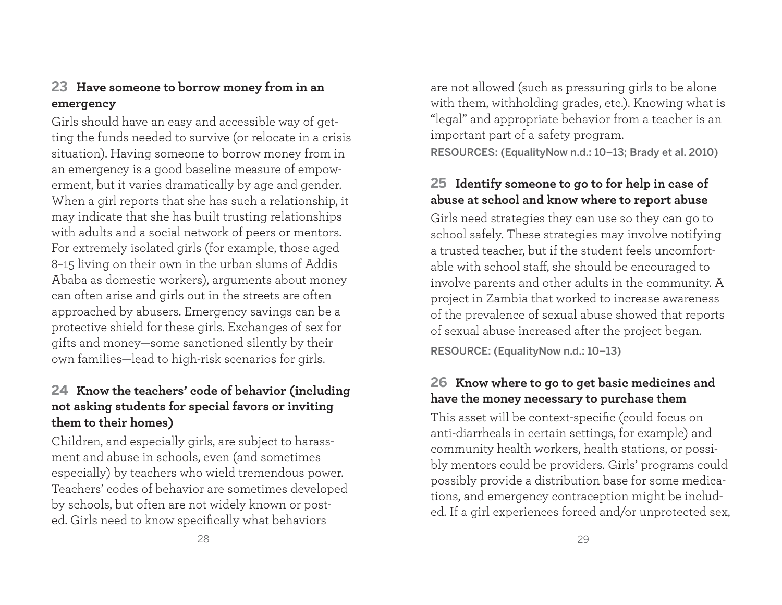## **23 Have someone to borrow money from in an emergency**

Girls should have an easy and accessible way of getting the funds needed to survive (or relocate in a crisis situation). Having someone to borrow money from in an emergency is a good baseline measure of empowerment, but it varies dramatically by age and gender. When a girl reports that she has such a relationship, it may indicate that she has built trusting relationships with adults and a social network of peers or mentors. For extremely isolated girls (for example, those aged 8–15 living on their own in the urban slums of Addis Ababa as domestic workers), arguments about money can often arise and girls out in the streets are often approached by abusers. Emergency savings can be a protective shield for these girls. Exchanges of sex for <sup>g</sup>ifts and money—some sanctioned silently by their own families—lead to high-risk scenarios for girls.

### **24 Know the teachers' code of behavior (including not asking students for special favors or inviting them to their homes)**

Children, and especially girls, are subject to harassment and abuse in schools, even (and sometimes especially) by teachers who wield tremendous power. Teachers' codes of behavior are sometimes developed by schools, but often are not widely known or posted. Girls need to know specifically what behaviors

are not allowed (such as pressuring girls to be alone with them, withholding grades, etc.). Knowing what is "legal" and appropriate behavior from a teacher is an important part of a safety program.

RESOURCES: (EqualityNow n.d.: 10–13; Brady et al. 2010)

### **25 Identify someone to go to for help in case of abuse at school and know where to report abuse**

Girls need strategies they can use so they can go to school safely. These strategies may involve notifying a trusted teacher, but if the student feels uncomfortable with school staff, she should be encouraged to involve parents and other adults in the community. A project in Zambia that worked to increase awareness of the prevalence of sexual abuse showed that reports of sexual abuse increased after the project began.

RESOURCE: (EqualityNow n.d.: 10–13)

### **26 Know where to go to get basic medicines and have the money necessary to purchase them**

This asset will be context-specific (could focus on anti-diarrheals in certain settings, for example) and community health workers, health stations, or possibly mentors could be providers. Girls' programs could possibly provide a distribution base for some medications, and emergency contraception might be included. If a girl experiences forced and/or unprotected sex,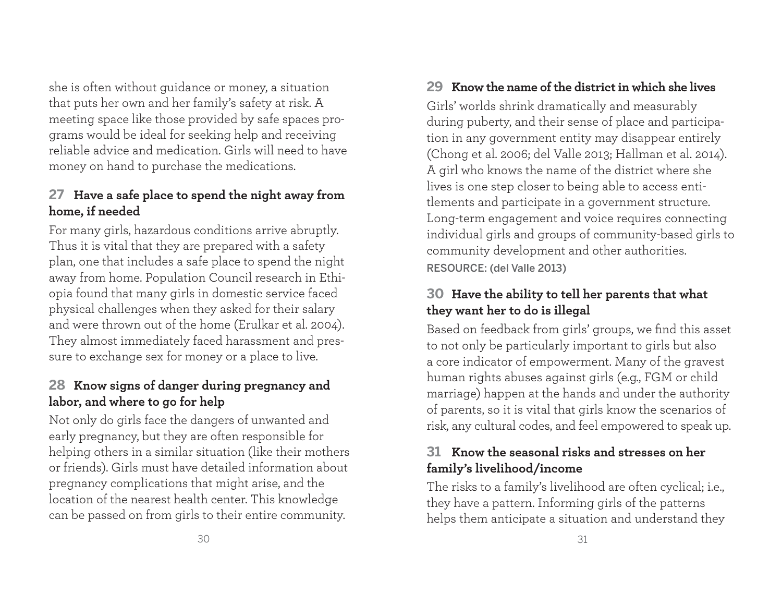she is often without guidance or money, a situation that puts her own and her family's safety at risk. A meeting space like those provided by safe spaces programs would be ideal for seeking help and receiving reliable advice and medication. Girls will need to have money on hand to purchase the medications.

# **27 Have a safe place to spend the night away from home, if needed**

For many girls, hazardous conditions arrive abruptly. Thus it is vital that they are prepared with a safety <sup>p</sup>lan, one that includes a safe place to spend the night away from home. Population Council research in Ethiopia found that many girls in domestic service faced <sup>p</sup>hysical challenges when they asked for their salary and were thrown out of the home (Erulkar et al. 2004). They almost immediately faced harassment and pressure to exchange sex for money or a place to live.

# **28 Know signs of danger during pregnancy and labor, and where to go for help**

Not only do girls face the dangers of unwanted and early pregnancy, but they are often responsible for helping others in a similar situation (like their mothers or friends). Girls must have detailed information about pregnancy complications that might arise, and the location of the nearest health center. This knowledge can be passed on from girls to their entire community.

# **29 Know the name of the district in which she lives**

Girls' worlds shrink dramatically and measurably during puberty, and their sense of place and participation in any government entity may disappear entirely (Chong et al. 2006; del Valle 2013; Hallman et al. 2014). A girl who knows the name of the district where she lives is one step closer to being able to access entitlements and participate in a government structure. Long-term engagement and voice requires connecting individual girls and groups of community-based girls to community development and other authorities. RESOURCE: (del Valle 2013)

# **30 Have the ability to tell her parents that what they want her to do is illegal**

Based on feedback from girls' groups, we find this asset to not only be particularly important to girls but also a core indicator of empowerment. Many of the gravest human rights abuses against girls (e.g., FGM or child marriage) happen at the hands and under the authority of parents, so it is vital that girls know the scenarios of risk, any cultural codes, and feel empowered to speak up.

# **31 Know the seasonal risks and stresses on her family's livelihood/income**

The risks to a family's livelihood are often cyclical; i.e., they have a pattern. Informing girls of the patterns helps them anticipate a situation and understand they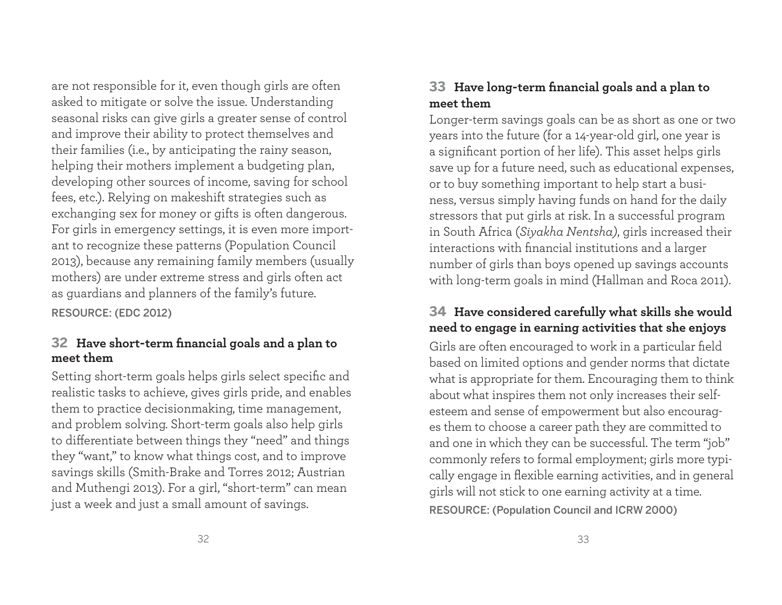are not responsible for it, even though girls are often asked to mitigate or solve the issue. Understanding seasonal risks can give girls a greater sense of control and improve their ability to protect themselves and their families (i.e., by anticipating the rainy season, helping their mothers implement a budgeting plan, developing other sources of income, saving for school fees, etc.). Relying on makeshift strategies such as exchanging sex for money or gifts is often dangerous. For girls in emergency settings, it is even more important to recognize these patterns (Population Council 2013), because any remaining family members (usually mothers) are under extreme stress and girls often act as guardians and planners of the family's future.

RESOURCE: (EDC 2012)

### **32** Have short-term financial goals and a plan to **meet them**

Setting short-term goals helps girls select specific and realistic tasks to achieve, gives girls pride, and enables them to practice decisionmaking, time management, and problem solving. Short-term goals also help girls to differentiate between things they "need" and things they "want," to know what things cost, and to improve savings skills (Smith-Brake and Torres 2012; Austrian and Muthengi 2013). For a girl, "short-term" can mean just a week and just a small amount of savings.

# **33 Have long-term fi nancial goals and a plan to meet them**

Longer-term savings goals can be as short as one or two years into the future (for a 14-year-old girl, one year is a significant portion of her life). This asset helps girls save up for a future need, such as educational expenses, or to buy something important to help start a business, versus simply having funds on hand for the daily stressors that put girls at risk. In a successful program in South Africa (*Siyakha Nentsha)*, girls increased their interactions with financial institutions and a larger number of girls than boys opened up savings accounts with long-term goals in mind (Hallman and Roca 2011).

# **34 Have considered carefully what skills she would need to engage in earning activities that she enjoys**

Girls are often encouraged to work in a particular field based on limited options and gender norms that dictate what is appropriate for them. Encouraging them to think about what inspires them not only increases their selfesteem and sense of empowerment but also encourages them to choose a career path they are committed to and one in which they can be successful. The term "job" commonly refers to formal employment; girls more typically engage in flexible earning activities, and in general <sup>g</sup>irls will not stick to one earning activity at a time. RESOURCE: (Population Council and ICRW 2000)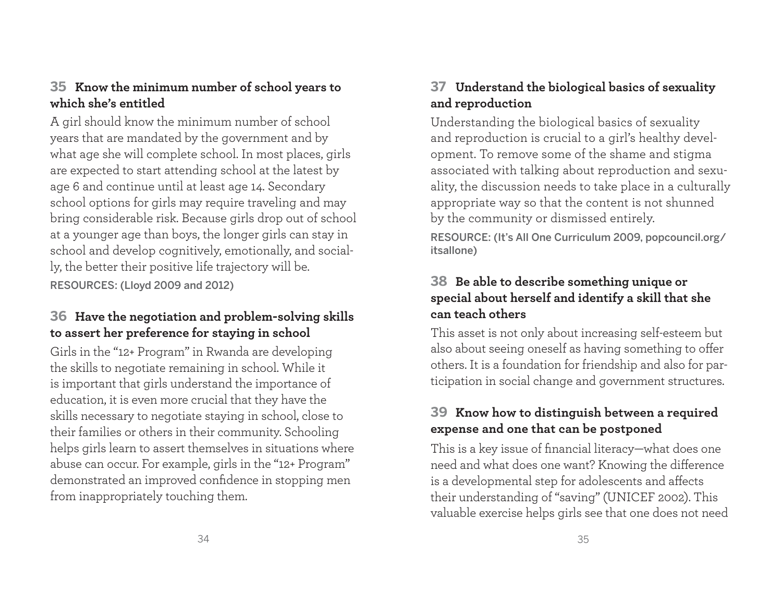# **35 Know the minimum number of school years to which she's entitled**

A girl should know the minimum number of school years that are mandated by the government and by what age she will complete school. In most places, girls are expected to start attending school at the latest by age 6 and continue until at least age 14. Secondary school options for girls may require traveling and may bring considerable risk. Because girls drop out of school at a younger age than boys, the longer girls can stay in school and develop cognitively, emotionally, and socially, the better their positive life trajectory will be. RESOURCES: (Lloyd 2009 and 2012)

# **36 Have the negotiation and problem-solving skills to assert her preference for staying in school**

Girls in the "12+ Program" in Rwanda are developing the skills to negotiate remaining in school. While it is important that girls understand the importance of education, it is even more crucial that they have the skills necessary to negotiate staying in school, close to their families or others in their community. Schooling helps girls learn to assert themselves in situations where abuse can occur. For example, girls in the "12+ Program" demonstrated an improved confidence in stopping men from inappropriately touching them.

# **37 Understand the biological basics of sexuality and reproduction**

Understanding the biological basics of sexuality and reproduction is crucial to a girl's healthy development. To remove some of the shame and stigma associated with talking about reproduction and sexuality, the discussion needs to take place in a culturally appropriate way so that the content is not shunned by the community or dismissed entirely.

RESOURCE: (It's All One Curriculum 2009, popcouncil.org/ itsallone)

# **38 Be able to describe something unique or special about herself and identify a skill that she can teach others**

This asset is not only about increasing self-esteem but also about seeing oneself as having something to offer others. It is a foundation for friendship and also for participation in social change and government structures.

# **39 Know how to distinguish between a required expense and one that can be postponed**

This is a key issue of financial literacy—what does one need and what does one want? Knowing the difference is a developmental step for adolescents and affects their understanding of "saving" (UNICEF 2002). This valuable exercise helps girls see that one does not need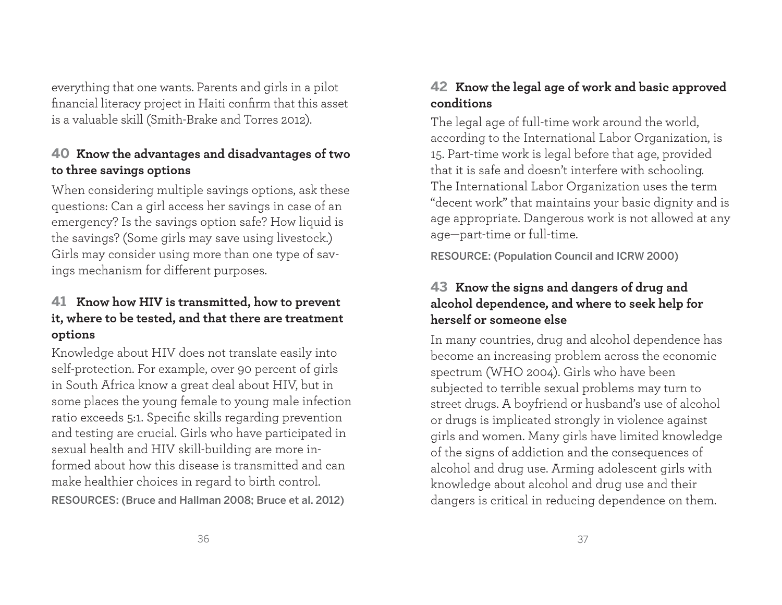everything that one wants. Parents and girls in a pilot financial literacy project in Haiti confirm that this asset is a valuable skill (Smith-Brake and Torres 2012).

# **40 Know the advantages and disadvantages of two to three savings options**

When considering multiple savings options, ask these questions: Can a girl access her savings in case of an emergency? Is the savings option safe? How liquid is the savings? (Some girls may save using livestock.) Girls may consider using more than one type of savings mechanism for different purposes.

# **41 Know how HIV is transmitted, how to prevent it, where to be tested, and that there are treatment options**

Knowledge about HIV does not translate easily into self-protection. For example, over 90 percent of girls in South Africa know a great deal about HIV, but in some places the young female to young male infection ratio exceeds 5:1. Specific skills regarding prevention and testing are crucial. Girls who have participated in sexual health and HIV skill-building are more informed about how this disease is transmitted and can make healthier choices in regard to birth control. RESOURCES: (Bruce and Hallman 2008; Bruce et al. 2012)

# **42 Know the legal age of work and basic approved conditions**

The legal age of full-time work around the world, according to the International Labor Organization, is 15. Part-time work is legal before that age, provided that it is safe and doesn't interfere with schooling. The International Labor Organization uses the term "decent work" that maintains your basic dignity and is age appropriate. Dangerous work is not allowed at any age—part-time or full-time.

RESOURCE: (Population Council and ICRW 2000)

# **43 Know the signs and dangers of drug and alcohol dependence, and where to seek help for herself or someone else**

In many countries, drug and alcohol dependence has become an increasing problem across the economic spectrum (WHO 2004). Girls who have been subjected to terrible sexual problems may turn to street drugs. A boyfriend or husband's use of alcohol or drugs is implicated strongly in violence against <sup>g</sup>irls and women. Many girls have limited knowledge of the signs of addiction and the consequences of alcohol and drug use. Arming adolescent girls with knowledge about alcohol and drug use and their dangers is critical in reducing dependence on them.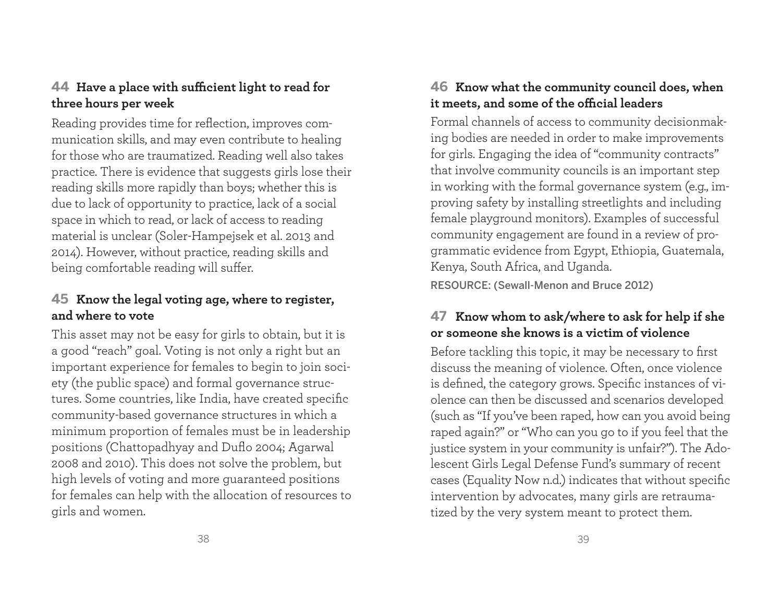### **44** Have a place with sufficient light to read for **three hours per week**

Reading provides time for reflection, improves communication skills, and may even contribute to healing for those who are traumatized. Reading well also takes practice. There is evidence that suggests girls lose their reading skills more rapidly than boys; whether this is due to lack of opportunity to practice, lack of a social space in which to read, or lack of access to reading material is unclear (Soler-Hampejsek et al. 2013 and 2014). However, without practice, reading skills and being comfortable reading will suffer.

# **45 Know the legal voting age, where to register, and where to vote**

This asset may not be easy for girls to obtain, but it is a good "reach" goal. Voting is not only a right but an important experience for females to begin to join society (the public space) and formal governance structures. Some countries, like India, have created specific community-based governance structures in which a minimum proportion of females must be in leadership positions (Chattopadhyay and Duflo 2004; Agarwal 2008 and 2010). This does not solve the problem, but high levels of voting and more guaranteed positions for females can help with the allocation of resources to girls and women.

# **46 Know what the community council does, when**  it meets, and some of the official leaders

Formal channels of access to community decisionmaking bodies are needed in order to make improvements for girls. Engaging the idea of "community contracts" that involve community councils is an important step in working with the formal governance system (e.g., improving safety by installing streetlights and including female playground monitors). Examples of successful community engagement are found in a review of programmatic evidence from Egypt, Ethiopia, Guatemala, Kenya, South Africa, and Uganda. RESOURCE: (Sewall-Menon and Bruce 2012)

### **47 Know whom to ask/where to ask for help if she or someone she knows is a victim of violence**

Before tackling this topic, it may be necessary to first discuss the meaning of violence. Often, once violence is defined, the category grows. Specific instances of violence can then be discussed and scenarios developed (such as "If you've been raped, how can you avoid being raped again?" or "Who can you go to if you feel that the justice system in your community is unfair?"). The Adolescent Girls Legal Defense Fund's summary of recent cases (Equality Now n.d.) indicates that without specific intervention by advocates, many girls are retraumatized by the very system meant to protect them.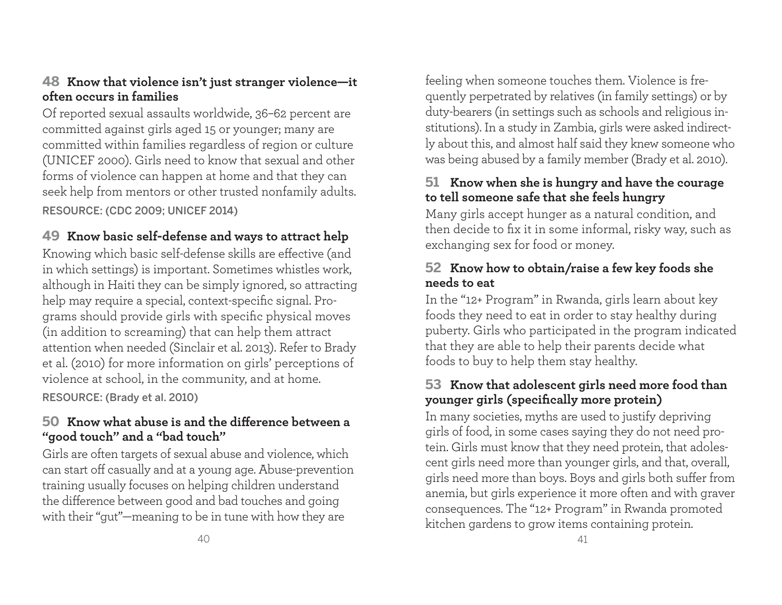### **48 Know that violence isn't just stranger violence—it often occurs in families**

Of reported sexual assaults worldwide, 36–62 percent are committed against girls aged 15 or younger; many are committed within families regardless of region or culture (UNICEF 2000). Girls need to know that sexual and other forms of violence can happen at home and that they can seek help from mentors or other trusted nonfamily adults. RESOURCE: (CDC 2009; UNICEF 2014)

# **49 Know basic self-defense and ways to attract help**

Knowing which basic self-defense skills are effective (and in which settings) is important. Sometimes whistles work, although in Haiti they can be simply ignored, so attracting help may require a special, context-specific signal. Programs should provide girls with specific physical moves (in addition to screaming) that can help them attract attention when needed (Sinclair et al. 2013). Refer to Brady et al. (2010) for more information on girls' perceptions of violence at school, in the community, and at home. RESOURCE: (Brady et al. 2010)

#### **50** Know what abuse is and the difference between a **"good touch" and a "bad touch"**

Girls are often targets of sexual abuse and violence, which can start off casually and at a young age. Abuse-prevention training usually focuses on helping children understand the difference between good and bad touches and going with their "gut"—meaning to be in tune with how they are

feeling when someone touches them. Violence is frequently perpetrated by relatives (in family settings) or by duty-bearers (in settings such as schools and religious institutions). In a study in Zambia, girls were asked indirectly about this, and almost half said they knew someone who was being abused by a family member (Brady et al. 2010).

# **51 Know when she is hungry and have the courage to tell someone safe that she feels hungry**

Many girls accept hunger as a natural condition, and then decide to fix it in some informal, risky way, such as exchanging sex for food or money.

# **52 Know how to obtain/raise a few key foods she needs to eat**

In the "12+ Program" in Rwanda, girls learn about key foods they need to eat in order to stay healthy during puberty. Girls who participated in the program indicated that they are able to help their parents decide what foods to buy to help them stay healthy.

# **53 Know that adolescent girls need more food than younger girls (specifi cally more protein)**

In many societies, myths are used to justify depriving girls of food, in some cases saying they do not need protein. Girls must know that they need protein, that adolescent girls need more than younger girls, and that, overall, girls need more than boys. Boys and girls both suffer from anemia, but girls experience it more often and with graver consequences. The "12+ Program" in Rwanda promoted kitchen gardens to grow items containing protein.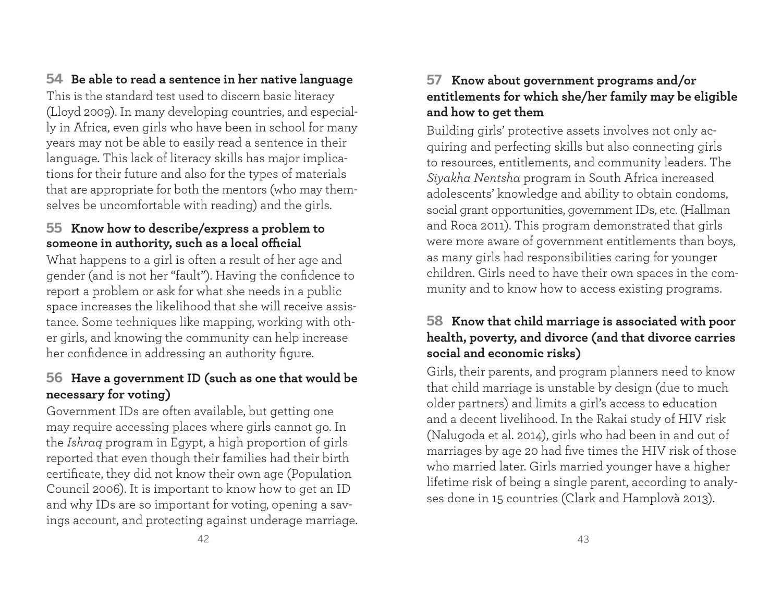**54 Be able to read a sentence in her native language**

This is the standard test used to discern basic literacy (Lloyd 2009). In many developing countries, and especially in Africa, even girls who have been in school for many years may not be able to easily read a sentence in their language. This lack of literacy skills has major implications for their future and also for the types of materials that are appropriate for both the mentors (who may themselves be uncomfortable with reading) and the girls.

### **55 Know how to describe/express a problem to**  someone in authority, such as a local official

What happens to a girl is often a result of her age and gender (and is not her "fault"). Having the confidence to report a problem or ask for what she needs in a public space increases the likelihood that she will receive assistance. Some techniques like mapping, working with other girls, and knowing the community can help increase her confidence in addressing an authority figure.

# **56 Have a government ID (such as one that would be necessary for voting)**

Government IDs are often available, but getting one may require accessing places where girls cannot go. In the *Ishraq* program in Egypt, a high proportion of girls reported that even though their families had their birth certificate, they did not know their own age (Population Council 2006). It is important to know how to get an ID and why IDs are so important for voting, opening a savings account, and protecting against underage marriage.

# **57 Know about government programs and/or entitlements for which she/her family may be eligible and how to get them**

Building girls' protective assets involves not only acquiring and perfecting skills but also connecting girls to resources, entitlements, and community leaders. The *Siyakha Nentsha* program in South Africa increased adolescents' knowledge and ability to obtain condoms, social grant opportunities, government IDs, etc. (Hallman and Roca 2011). This program demonstrated that girls were more aware of government entitlements than boys, as many girls had responsibilities caring for younger children. Girls need to have their own spaces in the community and to know how to access existing programs.

# **58 Know that child marriage is associated with poor health, poverty, and divorce (and that divorce carries social and economic risks)**

Girls, their parents, and program planners need to know that child marriage is unstable by design (due to much older partners) and limits a girl's access to education and a decent livelihood. In the Rakai study of HIV risk (Nalugoda et al. 2014), girls who had been in and out of marriages by age 20 had five times the HIV risk of those who married later. Girls married younger have a higher lifetime risk of being a single parent, according to analyses done in 15 countries (Clark and Hamplovà 2013).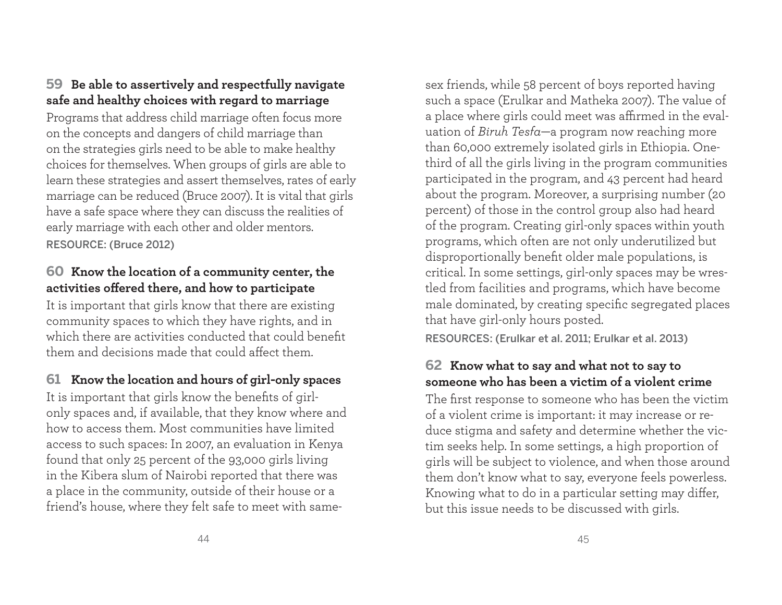#### **59 Be able to assertively and respectfully navigate safe and healthy choices with regard to marriage**

Programs that address child marriage often focus more on the concepts and dangers of child marriage than on the strategies girls need to be able to make healthy choices for themselves. When groups of girls are able to learn these strategies and assert themselves, rates of early marriage can be reduced (Bruce 2007). It is vital that girls have a safe space where they can discuss the realities of early marriage with each other and older mentors. RESOURCE: (Bruce 2012)

### **60 Know the location of a community center, the activities off ered there, and how to participate**

It is important that girls know that there are existing community spaces to which they have rights, and in which there are activities conducted that could benefit them and decisions made that could affect them.

# **61 Know the location and hours of girl-only spaces**

It is important that girls know the benefits of girlonly spaces and, if available, that they know where and how to access them. Most communities have limited access to such spaces: In 2007, an evaluation in Kenya found that only 25 percent of the 93,000 girls living in the Kibera slum of Nairobi reported that there was a place in the community, outside of their house or a friend's house, where they felt safe to meet with samesex friends, while 58 percent of boys reported having such a space (Erulkar and Matheka 2007). The value of a place where girls could meet was affirmed in the evaluation of *Biruh Tesfa*—a program now reaching more than 60,000 extremely isolated girls in Ethiopia. Onethird of all the girls living in the program communities participated in the program, and 43 percent had heard about the program. Moreover, a surprising number (20 percent) of those in the control group also had heard of the program. Creating girl-only spaces within youth programs, which often are not only underutilized but disproportionally benefit older male populations, is critical. In some settings, girl-only spaces may be wrestled from facilities and programs, which have become male dominated, by creating specific segregated places that have girl-only hours posted.

RESOURCES: (Erulkar et al. 2011; Erulkar et al. 2013)

# **62 Know what to say and what not to say to someone who has been a victim of a violent crime**

The first response to someone who has been the victim of a violent crime is important: it may increase or reduce stigma and safety and determine whether the victim seeks help. In some settings, a high proportion of <sup>g</sup>irls will be subject to violence, and when those around them don't know what to say, everyone feels powerless. Knowing what to do in a particular setting may differ, but this issue needs to be discussed with girls.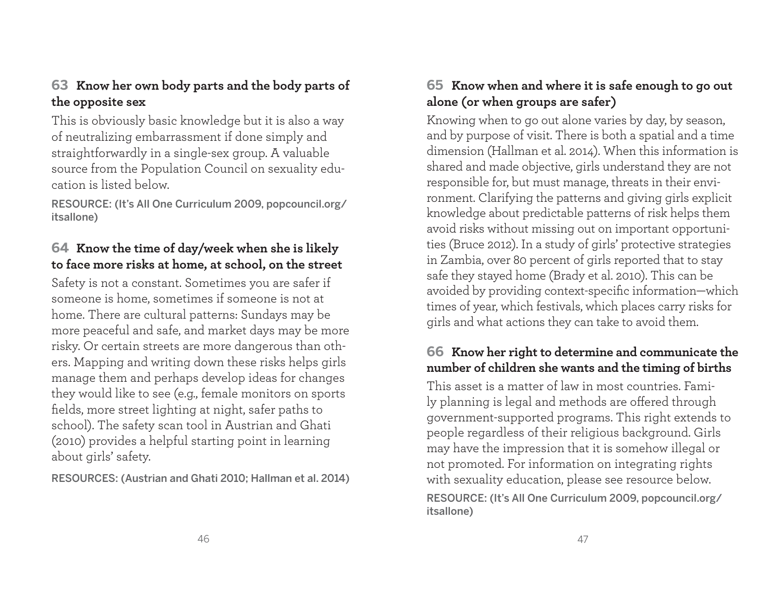# **63 Know her own body parts and the body parts of the opposite sex**

This is obviously basic knowledge but it is also a way of neutralizing embarrassment if done simply and straightforwardly in a single-sex group. A valuable source from the Population Council on sexuality education is listed below.

RESOURCE: (It's All One Curriculum 2009, popcouncil.org/ itsallone)

# **64 Know the time of day/week when she is likely to face more risks at home, at school, on the street**

Safety is not a constant. Sometimes you are safer if someone is home, sometimes if someone is not at home. There are cultural patterns: Sundays may be more peaceful and safe, and market days may be more risky. Or certain streets are more dangerous than others. Mapping and writing down these risks helps girls manage them and perhaps develop ideas for changes they would like to see (e.g., female monitors on sports fields, more street lighting at night, safer paths to school). The safety scan tool in Austrian and Ghati (2010) provides a helpful starting point in learning about girls' safety.

RESOURCES: (Austrian and Ghati 2010; Hallman et al. 2014)

# **65 Know when and where it is safe enough to go out alone (or when groups are safer)**

Knowing when to go out alone varies by day, by season, and by purpose of visit. There is both a spatial and a time dimension (Hallman et al. 2014). When this information is shared and made objective, girls understand they are not responsible for, but must manage, threats in their environment. Clarifying the patterns and giving girls explicit knowledge about predictable patterns of risk helps them avoid risks without missing out on important opportunities (Bruce 2012). In a study of girls' protective strategies in Zambia, over 80 percent of girls reported that to stay safe they stayed home (Brady et al. 2010). This can be avoided by providing context-specific information-which times of year, which festivals, which places carry risks for <sup>g</sup>irls and what actions they can take to avoid them.

# **66 Know her right to determine and communicate the number of children she wants and the timing of births**

This asset is a matter of law in most countries. Family planning is legal and methods are offered through government-supported programs. This right extends to people regardless of their religious background. Girls may have the impression that it is somehow illegal or not promoted. For information on integrating rights with sexuality education, please see resource below. RESOURCE: (It's All One Curriculum 2009, popcouncil.org/ itsallone)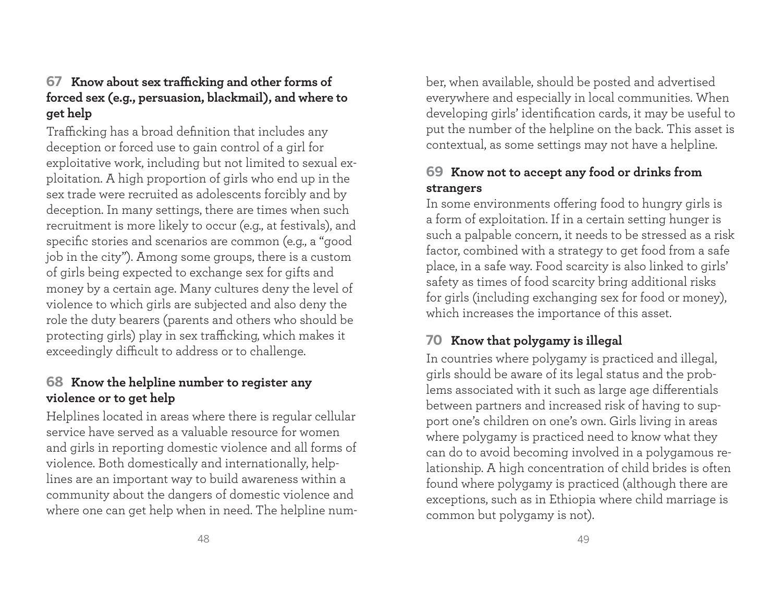# **67** Know about sex trafficking and other forms of **forced sex (e.g., persuasion, blackmail), and where to get help**

Trafficking has a broad definition that includes any deception or forced use to gain control of a girl for exploitative work, including but not limited to sexual ex<sup>p</sup>loitation. A high proportion of girls who end up in the sex trade were recruited as adolescents forcibly and by deception. In many settings, there are times when such recruitment is more likely to occur (e.g., at festivals), and specific stories and scenarios are common (e.g., a "good job in the city"). Among some groups, there is a custom of girls being expected to exchange sex for gifts and money by a certain age. Many cultures deny the level of violence to which girls are subjected and also deny the role the duty bearers (parents and others who should be protecting girls) play in sex trafficking, which makes it exceedingly difficult to address or to challenge.

#### **68 Know the helpline number to register any violence or to get help**

Helplines located in areas where there is regular cellular service have served as a valuable resource for women and girls in reporting domestic violence and all forms of violence. Both domestically and internationally, helplines are an important way to build awareness within a community about the dangers of domestic violence and where one can get help when in need. The helpline number, when available, should be posted and advertised everywhere and especially in local communities. When developing girls' identification cards, it may be useful to put the number of the helpline on the back. This asset is contextual, as some settings may not have a helpline.

# **69 Know not to accept any food or drinks from strangers**

In some environments offering food to hungry girls is a form of exploitation. If in a certain setting hunger is such a palpable concern, it needs to be stressed as a risk factor, combined with a strategy to get food from a safe <sup>p</sup>lace, in a safe way. Food scarcity is also linked to girls' safety as times of food scarcity bring additional risks for girls (including exchanging sex for food or money), which increases the importance of this asset.

# **70 Know that polygamy is illegal**

In countries where polygamy is practiced and illegal, girls should be aware of its legal status and the problems associated with it such as large age differentials between partners and increased risk of having to support one's children on one's own. Girls living in areas where polygamy is practiced need to know what they can do to avoid becoming involved in a polygamous relationship. A high concentration of child brides is often found where polygamy is practiced (although there are exceptions, such as in Ethiopia where child marriage is common but polygamy is not).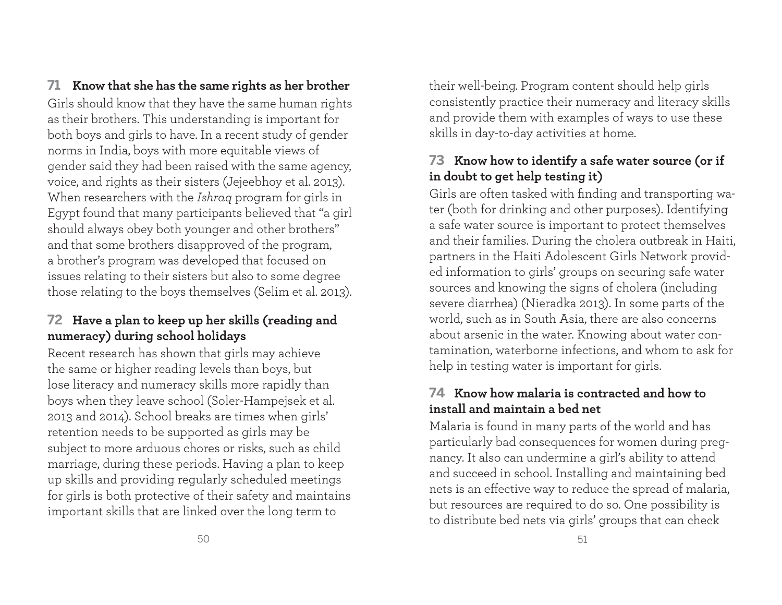**71 Know that she has the same rights as her brother** Girls should know that they have the same human rights as their brothers. This understanding is important for both boys and girls to have. In a recent study of gender norms in India, boys with more equitable views of gender said they had been raised with the same agency, voice, and rights as their sisters (Jejeebhoy et al. 2013). When researchers with the *Ishraq* program for girls in Egypt found that many participants believed that "a girl should always obey both younger and other brothers" and that some brothers disapproved of the program, a brother's program was developed that focused on issues relating to their sisters but also to some degree those relating to the boys themselves (Selim et al. 2013).

# **72 Have a plan to keep up her skills (reading and numeracy) during school holidays**

Recent research has shown that girls may achieve the same or higher reading levels than boys, but lose literacy and numeracy skills more rapidly than boys when they leave school (Soler-Hampejsek et al. 2013 and 2014). School breaks are times when girls' retention needs to be supported as girls may be subject to more arduous chores or risks, such as child marriage, during these periods. Having a plan to keep up skills and providing regularly scheduled meetings for girls is both protective of their safety and maintains important skills that are linked over the long term to

their well-being. Program content should help girls consistently practice their numeracy and literacy skills and provide them with examples of ways to use these skills in day-to-day activities at home.

# **73 Know how to identify a safe water source (or if in doubt to get help testing it)**

Girls are often tasked with finding and transporting water (both for drinking and other purposes). Identifying a safe water source is important to protect themselves and their families. During the cholera outbreak in Haiti, partners in the Haiti Adolescent Girls Network provided information to girls' groups on securing safe water sources and knowing the signs of cholera (including severe diarrhea) (Nieradka 2013). In some parts of the world, such as in South Asia, there are also concerns about arsenic in the water. Knowing about water contamination, waterborne infections, and whom to ask for help in testing water is important for girls.

# **74 Know how malaria is contracted and how to install and maintain a bed net**

Malaria is found in many parts of the world and has particularly bad consequences for women during pregnancy. It also can undermine a girl's ability to attend and succeed in school. Installing and maintaining bed nets is an effective way to reduce the spread of malaria, but resources are required to do so. One possibility is to distribute bed nets via girls' groups that can check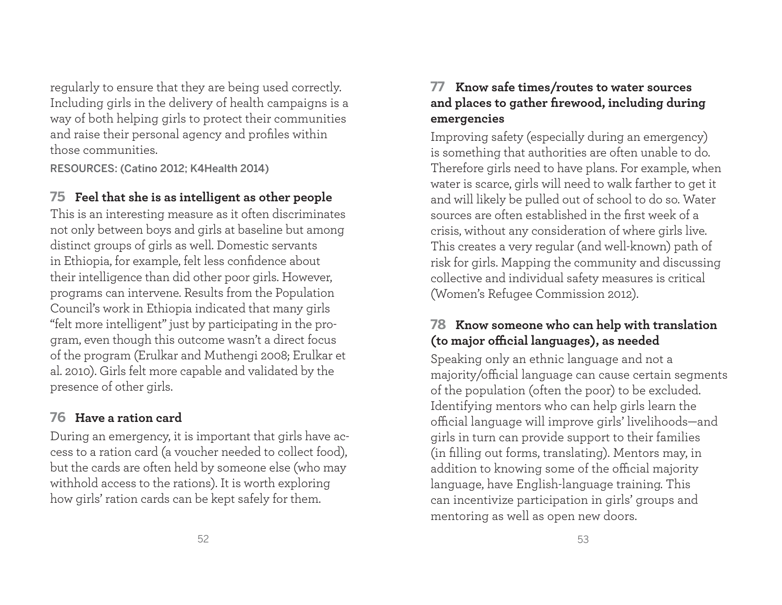regularly to ensure that they are being used correctly. Including girls in the delivery of health campaigns is a way of both helping girls to protect their communities and raise their personal agency and profiles within those communities.

RESOURCES: (Catino 2012; K4Health 2014)

# **75 Feel that she is as intelligent as other people**

This is an interesting measure as it often discriminates not only between boys and girls at baseline but among distinct groups of girls as well. Domestic servants in Ethiopia, for example, felt less confidence about their intelligence than did other poor girls. However, programs can intervene. Results from the Population Council's work in Ethiopia indicated that many girls "felt more intelligent" just by participating in the program, even though this outcome wasn't a direct focus of the program (Erulkar and Muthengi 2008; Erulkar et al. 2010). Girls felt more capable and validated by the presence of other girls.

# **76 Have a ration card**

During an emergency, it is important that girls have access to a ration card (a voucher needed to collect food), but the cards are often held by someone else (who may withhold access to the rations). It is worth exploring how girls' ration cards can be kept safely for them.

# **77 Know safe times/routes to water sources**  and places to gather firewood, including during **emergencies**

Improving safety (especially during an emergency) is something that authorities are often unable to do. Therefore girls need to have plans. For example, when water is scarce, girls will need to walk farther to get it and will likely be pulled out of school to do so. Water sources are often established in the first week of a crisis, without any consideration of where girls live. This creates a very regular (and well-known) path of risk for girls. Mapping the community and discussing collective and individual safety measures is critical (Women's Refugee Commission 2012).

# **78 Know someone who can help with translation**  (to major official languages), as needed

Speaking only an ethnic language and not a majority/official language can cause certain segments of the population (often the poor) to be excluded. Identifying mentors who can help girls learn the official language will improve girls' livelihoods—and <sup>g</sup>irls in turn can provide support to their families (in filling out forms, translating). Mentors may, in addition to knowing some of the official majority language, have English-language training. This can incentivize participation in girls' groups and mentoring as well as open new doors.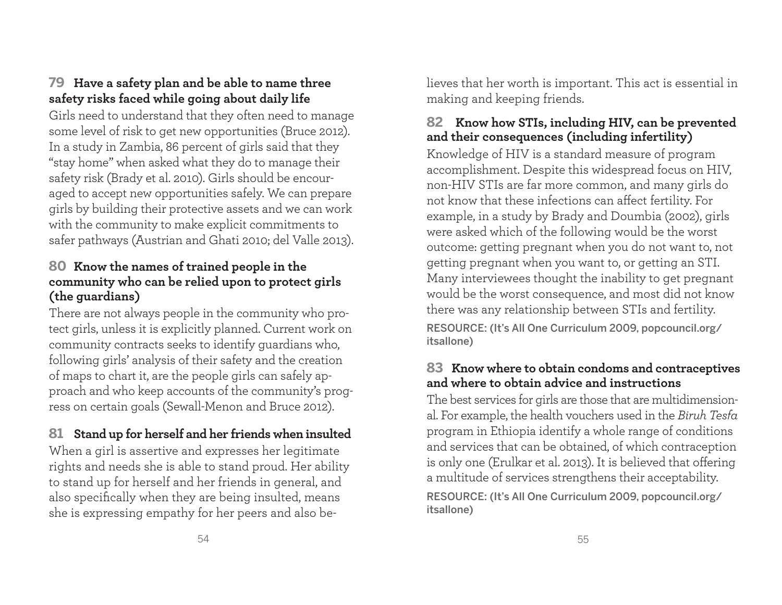# **79 Have a safety plan and be able to name three safety risks faced while going about daily life**

Girls need to understand that they often need to manage some level of risk to get new opportunities (Bruce 2012). In a study in Zambia, 86 percent of girls said that they "stay home" when asked what they do to manage their safety risk (Brady et al. 2010). Girls should be encouraged to accept new opportunities safely. We can prepare <sup>g</sup>irls by building their protective assets and we can work with the community to make explicit commitments to safer pathways (Austrian and Ghati 2010; del Valle 2013).

#### **80 Know the names of trained people in the community who can be relied upon to protect girls (the guardians)**

There are not always people in the community who protect girls, unless it is explicitly planned. Current work on community contracts seeks to identify guardians who, following girls' analysis of their safety and the creation of maps to chart it, are the people girls can safely approach and who keep accounts of the community's progress on certain goals (Sewall-Menon and Bruce 2012).

# **81 Stand up for herself and her friends when insulted**

When a girl is assertive and expresses her legitimate rights and needs she is able to stand proud. Her ability to stand up for herself and her friends in general, and also specifically when they are being insulted, means she is expressing empathy for her peers and also believes that her worth is important. This act is essential in making and keeping friends.

### **82 Know how STIs, including HIV, can be prevented and their consequences (including infertility)**

Knowledge of HIV is a standard measure of program accomplishment. Despite this widespread focus on HIV, non-HIV STIs are far more common, and many girls do not know that these infections can affect fertility. For example, in a study by Brady and Doumbia (2002), girls were asked which of the following would be the worst outcome: getting pregnant when you do not want to, not getting pregnant when you want to, or getting an STI. Many interviewees thought the inability to get pregnant would be the worst consequence, and most did not know there was any relationship between STIs and fertility.

RESOURCE: (It's All One Curriculum 2009, popcouncil.org/ itsallone)

#### **83 Know where to obtain condoms and contraceptives and where to obtain advice and instructions**

The best services for girls are those that are multidimensional. For example, the health vouchers used in the *Biruh Tesfa* program in Ethiopia identify a whole range of conditions and services that can be obtained, of which contraception is only one (Erulkar et al. 2013). It is believed that offering a multitude of services strengthens their acceptability. RESOURCE: (It's All One Curriculum 2009, popcouncil.org/ itsallone)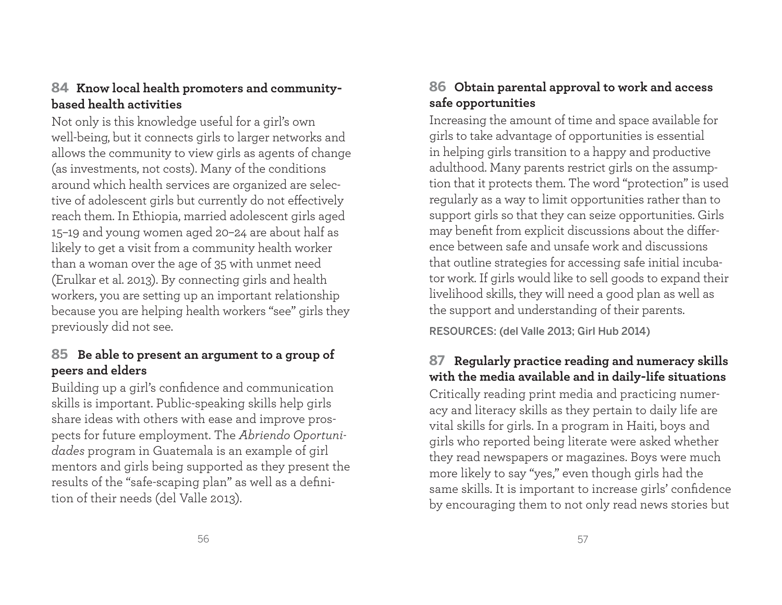# **84 Know local health promoters and communitybased health activities**

Not only is this knowledge useful for a girl's own well-being, but it connects girls to larger networks and allows the community to view girls as agents of change (as investments, not costs). Many of the conditions around which health services are organized are selective of adolescent girls but currently do not effectively reach them. In Ethiopia, married adolescent girls aged 15–19 and young women aged 20–24 are about half as likely to get a visit from a community health worker than a woman over the age of 35 with unmet need (Erulkar et al. 2013). By connecting girls and health workers, you are setting up an important relationship because you are helping health workers "see" girls they previously did not see.

# **85 Be able to present an argument to a group of peers and elders**

Building up a girl's confidence and communication skills is important. Public-speaking skills help girls share ideas with others with ease and improve prospects for future employment. The *Abriendo Oportunidades* program in Guatemala is an example of girl mentors and girls being supported as they present the results of the "safe-scaping plan" as well as a definition of their needs (del Valle 2013).

# **86 Obtain parental approval to work and access safe opportunities**

Increasing the amount of time and space available for <sup>g</sup>irls to take advantage of opportunities is essential in helping girls transition to a happy and productive adulthood. Many parents restrict girls on the assumption that it protects them. The word "protection" is used regularly as a way to limit opportunities rather than to support girls so that they can seize opportunities. Girls may benefit from explicit discussions about the difference between safe and unsafe work and discussions that outline strategies for accessing safe initial incubator work. If girls would like to sell goods to expand their livelihood skills, they will need a good plan as well as the support and understanding of their parents.

RESOURCES: (del Valle 2013; Girl Hub 2014)

# **87 Regularly practice reading and numeracy skills with the media available and in daily-life situations**

Critically reading print media and practicing numeracy and literacy skills as they pertain to daily life are vital skills for girls. In a program in Haiti, boys and <sup>g</sup>irls who reported being literate were asked whether they read newspapers or magazines. Boys were much more likely to say "yes," even though girls had the same skills. It is important to increase girls' confidence by encouraging them to not only read news stories but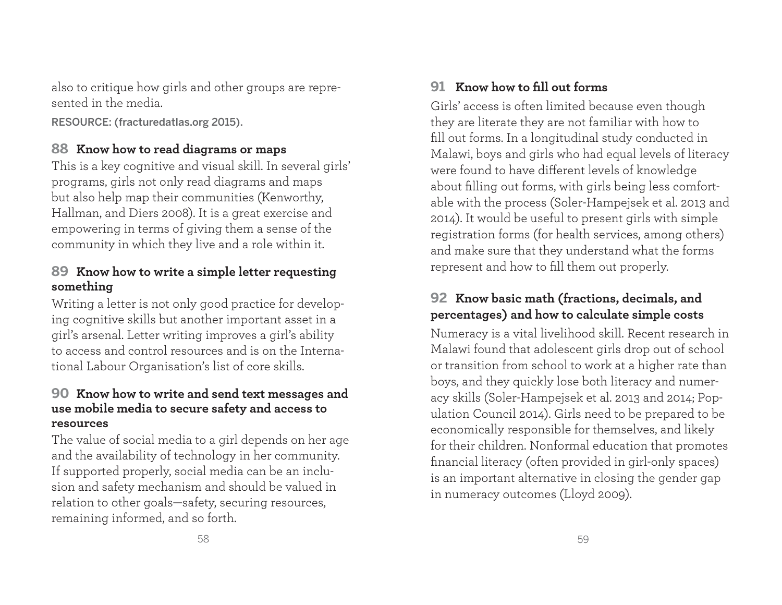also to critique how girls and other groups are represented in the media.

RESOURCE: (fracturedatlas.org 2015).

### **88 Know how to read diagrams or maps**

This is a key cognitive and visual skill. In several girls' programs, girls not only read diagrams and maps but also help map their communities (Kenworthy, Hallman, and Diers 2008). It is a great exercise and empowering in terms of giving them a sense of the community in which they live and a role within it.

#### **89 Know how to write a simple letter requesting something**

Writing a letter is not only good practice for developing cognitive skills but another important asset in a <sup>g</sup>irl's arsenal. Letter writing improves a girl's ability to access and control resources and is on the International Labour Organisation's list of core skills.

#### **90 Know how to write and send text messages and use mobile media to secure safety and access to resources**

The value of social media to a girl depends on her age and the availability of technology in her community. If supported properly, social media can be an inclusion and safety mechanism and should be valued in relation to other goals—safety, securing resources, remaining informed, and so forth.

# **91** Know how to fill out forms

Girls' access is often limited because even though they are literate they are not familiar with how to fill out forms. In a longitudinal study conducted in Malawi, boys and girls who had equal levels of literacy were found to have different levels of knowledge about filling out forms, with girls being less comfortable with the process (Soler-Hampejsek et al. 2013 and 2014). It would be useful to present girls with simple registration forms (for health services, among others) and make sure that they understand what the forms represent and how to fill them out properly.

# **92 Know basic math (fractions, decimals, and percentages) and how to calculate simple costs**

Numeracy is a vital livelihood skill. Recent research in Malawi found that adolescent girls drop out of school or transition from school to work at a higher rate than boys, and they quickly lose both literacy and numeracy skills (Soler-Hampejsek et al. 2013 and 2014; Population Council 2014). Girls need to be prepared to be economically responsible for themselves, and likely for their children. Nonformal education that promotes financial literacy (often provided in girl-only spaces) is an important alternative in closing the gender gap in numeracy outcomes (Lloyd 2009).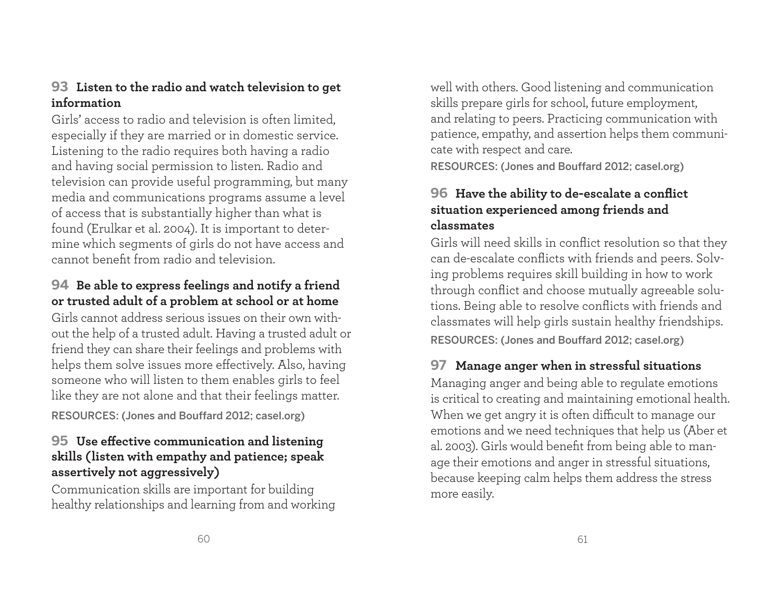#### **93 Listen to the radio and watch television to get information**

Girls' access to radio and television is often limited, especially if they are married or in domestic service. Listening to the radio requires both having a radio and having social permission to listen. Radio and television can provide useful programming, but many media and communications programs assume a level of access that is substantially higher than what is found (Erulkar et al. 2004). It is important to determine which segments of girls do not have access and cannot benefit from radio and television.

### **94 Be able to express feelings and notify a friend or trusted adult of a problem at school or at home**

Girls cannot address serious issues on their own without the help of a trusted adult. Having a trusted adult or friend they can share their feelings and problems with helps them solve issues more effectively. Also, having someone who will listen to them enables girls to feel like they are not alone and that their feelings matter.

RESOURCES: (Jones and Bouffard 2012; casel.org)

# **95** Use effective communication and listening **skills (listen with empathy and patience; speak assertively not aggressively)**

Communication skills are important for building healthy relationships and learning from and working well with others. Good listening and communication skills prepare girls for school, future employment, and relating to peers. Practicing communication with patience, empathy, and assertion helps them communicate with respect and care.

RESOURCES: (Jones and Bouffard 2012; casel.org)

### **96** Have the ability to de-escalate a conflict **situation experienced among friends and classmates**

Girls will need skills in conflict resolution so that they can de-escalate conflicts with friends and peers. Solving problems requires skill building in how to work through conflict and choose mutually agreeable solutions. Being able to resolve conflicts with friends and classmates will help girls sustain healthy friendships. RESOURCES: (Jones and Bouffard 2012; casel.org)

# **97 Manage anger when in stressful situations**

Managing anger and being able to regulate emotions is critical to creating and maintaining emotional health. When we get angry it is often difficult to manage our emotions and we need techniques that help us (Aber et al. 2003). Girls would benefit from being able to manage their emotions and anger in stressful situations, because keeping calm helps them address the stress more easily.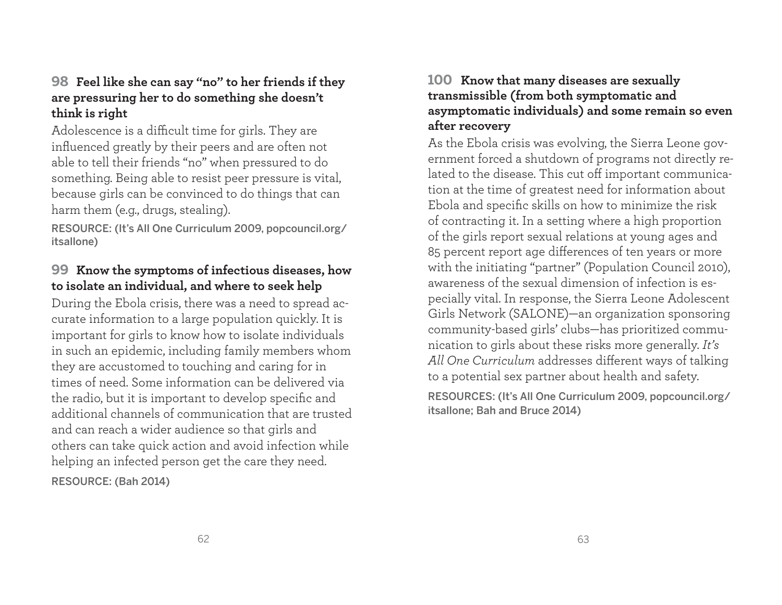### **98 Feel like she can say "no" to her friends if they are pressuring her to do something she doesn't think is right**

Adolescence is a difficult time for girls. They are influenced greatly by their peers and are often not able to tell their friends "no" when pressured to do something. Being able to resist peer pressure is vital, because girls can be convinced to do things that can harm them (e.g., drugs, stealing).

RESOURCE: (It's All One Curriculum 2009, popcouncil.org/ itsallone)

#### **99 Know the symptoms of infectious diseases, how to isolate an individual, and where to seek help**

During the Ebola crisis, there was a need to spread accurate information to a large population quickly. It is important for girls to know how to isolate individuals in such an epidemic, including family members whom they are accustomed to touching and caring for in times of need. Some information can be delivered via the radio, but it is important to develop specific and additional channels of communication that are trusted and can reach a wider audience so that girls and others can take quick action and avoid infection while helping an infected person get the care they need. RESOURCE: (Bah 2014)

#### **100 Know that many diseases are sexually transmissible (from both symptomatic and asymptomatic individuals) and some remain so even after recovery**

As the Ebola crisis was evolving, the Sierra Leone government forced a shutdown of programs not directly related to the disease. This cut off important communication at the time of greatest need for information about Ebola and specific skills on how to minimize the risk of contracting it. In a setting where a high proportion of the girls report sexual relations at young ages and 85 percent report age differences of ten years or more with the initiating "partner" (Population Council 2010), awareness of the sexual dimension of infection is especially vital. In response, the Sierra Leone Adolescent Girls Network (SALONE)—an organization sponsoring community-based girls' clubs—has prioritized communication to girls about these risks more generally. *It's*  All One Curriculum addresses different ways of talking to a potential sex partner about health and safety.

RESOURCES: (It's All One Curriculum 2009, popcouncil.org/ itsallone; Bah and Bruce 2014)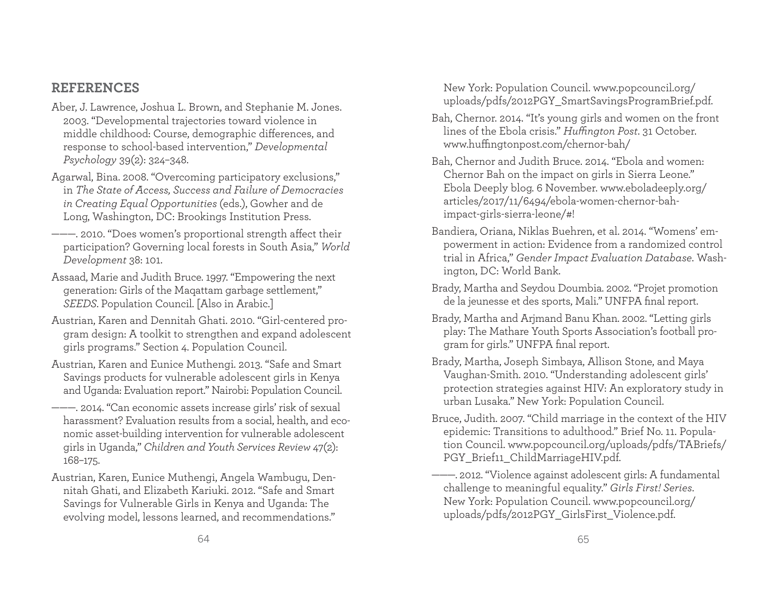#### **REFERENCES**

- Aber, J. Lawrence, Joshua L. Brown, and Stephanie M. Jones. 2003. "Developmental trajectories toward violence in middle childhood: Course, demographic differences, and response to school-based intervention," *Developmental Psychology* 39(2): 324–348.
- Agarwal, Bina. 2008. "Overcoming participatory exclusions," in *The State of Access, Success and Failure of Democracies in Creating Equal Opportunities* (eds.), Gowher and de Long, Washington, DC: Brookings Institution Press.
- ———. 2010. "Does women's proportional strength affect their participation? Governing local forests in South Asia," *World Development* 38: 101.
- Assaad, Marie and Judith Bruce. 1997. "Empowering the next generation: Girls of the Maqattam garbage settlement," *SEEDS*. Population Council. [Also in Arabic.]
- Austrian, Karen and Dennitah Ghati. 2010. "Girl-centered program design: A toolkit to strengthen and expand adolescent <sup>g</sup>irls programs." Section 4. Population Council.
- Austrian, Karen and Eunice Muthengi. 2013. "Safe and Smart Savings products for vulnerable adolescent girls in Kenya and Uganda: Evaluation report." Nairobi: Population Council.
- ———. 2014. "Can economic assets increase girls' risk of sexual harassment? Evaluation results from a social, health, and economic asset-building intervention for vulnerable adolescent <sup>g</sup>irls in Uganda," *Children and Youth Services Review* 47(2): 168–175.
- Austrian, Karen, Eunice Muthengi, Angela Wambugu, Dennitah Ghati, and Elizabeth Kariuki. 2012. "Safe and Smart Savings for Vulnerable Girls in Kenya and Uganda: The evolving model, lessons learned, and recommendations."

New York: Population Council. www.popcouncil.org/ uploads/pdfs/2012PGY\_SmartSavingsProgramBrief.pdf.

- Bah, Chernor. 2014. "It's young girls and women on the front lines of the Ebola crisis." *Huffington Post*. 31 October. www.huffingtonpost.com/chernor-bah/
- Bah, Chernor and Judith Bruce. 2014. "Ebola and women: Chernor Bah on the impact on girls in Sierra Leone." Ebola Deeply blog. 6 November. www.eboladeeply.org/ articles/2017/11/6494/ebola-women-chernor-bahimpact-girls-sierra-leone/#!
- Bandiera, Oriana, Niklas Buehren, et al. 2014. "Womens' empowerment in action: Evidence from a randomized control trial in Africa," *G* e*nder Impact Evaluation Database*. Washington, DC: World Bank.
- Brady, Martha and Seydou Doumbia. 2002. "Projet promotion de la jeunesse et des sports, Mali." UNFPA final report.
- Brady, Martha and Arjmand Banu Khan. 2002. "Letting girls play: The Mathare Youth Sports Association's football program for girls." UNFPA final report.
- Brady, Martha, Joseph Simbaya, Allison Stone, and Maya Vaughan-Smith. 2010. "Understanding adolescent girls' protection strategies against HIV: An exploratory study in urban Lusaka." New York: Population Council.
- Bruce, Judith. 2007. "Child marriage in the context of the HIV epidemic: Transitions to adulthood." Brief No. 11. Population Council. www.popcouncil.org/uploads/pdfs/TABriefs/ PGY\_Brief11\_ChildMarriageHIV.pdf.
- ———. 2012. "Violence against adolescent girls: A fundamental challenge to meaningful equality." *Girls First! Series*. New York: Population Council. www.popcouncil.org/ uploads/pdfs/2012PGY\_GirlsFirst\_Violence.pdf.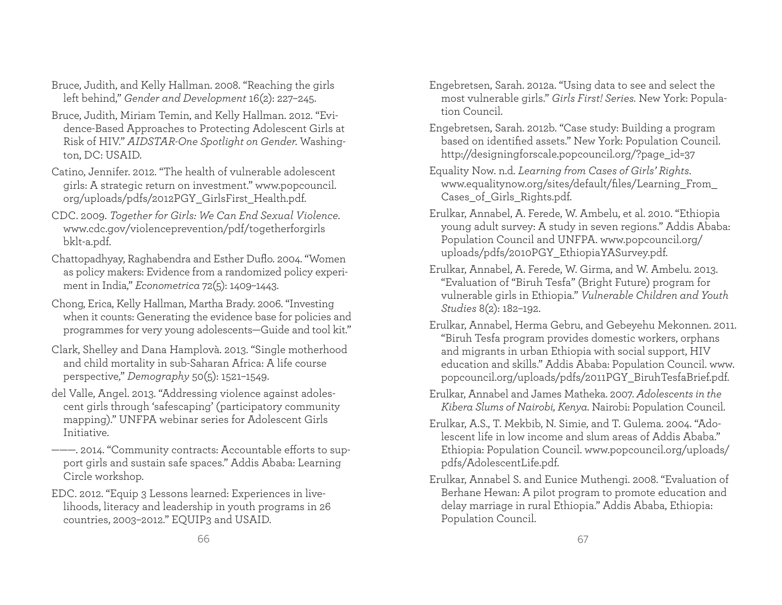- Bruce, Judith, and Kelly Hallman. 2008. "Reaching the girls left behind," *Gender and Development* 16(2): 227–245.
- Bruce, Judith, Miriam Temin, and Kelly Hallman. 2012. "Evidence-Based Approaches to Protecting Adolescent Girls at Risk of HIV." *AIDSTAR-One Spotlight on Gender.* Washington, DC: USAID.
- Catino, Jennifer. 2012. "The health of vulnerable adolescent <sup>g</sup>irls: A strategic return on investment." www.popcouncil. org/uploads/pdfs/2012PGY\_GirlsFirst\_Health.pdf.
- CDC. 2009. *Together for Girls: We Can End Sexual Violence*. www.cdc.gov/violenceprevention/pdf/togetherforgirls bklt-a.pdf.
- Chattopadhyay, Raghabendra and Esther Duflo. 2004. "Women as policy makers: Evidence from a randomized policy experiment in India," *Econometrica* 72(5): 1409–1443.
- Chong, Erica, Kelly Hallman, Martha Brady. 2006. "Investing when it counts: Generating the evidence base for policies and programmes for very young adolescents—Guide and tool kit."
- Clark, Shelley and Dana Hamplovà. 2013. "Single motherhood and child mortality in sub-Saharan Africa: A life course perspective," *Demography* 50(5): 1521–1549.
- del Valle, Angel. 2013. "Addressing violence against adolescent girls through 'safescaping' (participatory community mapping)." UNFPA webinar series for Adolescent Girls Initiative.
- --- 2014. "Community contracts: Accountable efforts to support girls and sustain safe spaces." Addis Ababa: Learning Circle workshop.
- EDC. 2012. "Equip 3 Lessons learned: Experiences in livelihoods, literacy and leadership in youth programs in 26 countries, 2003–2012." EQUIP3 and USAID.
- Engebretsen, Sarah. 2012a. "Using data to see and select the most vulnerable girls." *Girls First! Series.* New York: Population Council.
- Engebretsen, Sarah. 2012b. "Case study: Building a program based on identified assets." New York: Population Council. http://designingforscale.popcouncil.org/?page\_id=37
- Equality Now. n.d. *Learning from Cases of Girls' Rights*. www.equalitynow.org/sites/default/files/Learning\_From\_ Cases\_of\_Girls\_Rights.pdf.
- Erulkar, Annabel, A. Ferede, W. Ambelu, et al. 2010. "Ethiopia young adult survey: A study in seven regions." Addis Ababa: Population Council and UNFPA. www.popcouncil.org/ uploads/pdfs/2010PGY\_EthiopiaYASurvey.pdf.
- Erulkar, Annabel, A. Ferede, W. Girma, and W. Ambelu. 2013. "Evaluation of "Biruh Tesfa" (Bright Future) program for vulnerable girls in Ethiopia." *Vulnerable Children and Youth Studies* 8(2): 182–192.
- Erulkar, Annabel, Herma Gebru, and Gebeyehu Mekonnen. 2011. "Biruh Tesfa program provides domestic workers, orphans and migrants in urban Ethiopia with social support, HIV education and skills." Addis Ababa: Population Council. www. popcouncil.org/uploads/pdfs/2011PGY\_BiruhTesfaBrief.pdf.
- Erulkar, Annabel and James Matheka. 2007. *Adolescents in the Kibera Slums of Nairobi, Kenya*. Nairobi: Population Council.
- Erulkar, A.S., T. Mekbib, N. Simie, and T. Gulema. 2004. "Adolescent life in low income and slum areas of Addis Ababa." Ethiopia: Population Council. www.popcouncil.org/uploads/ <sup>p</sup>dfs/AdolescentLife.pdf.
- Erulkar, Annabel S. and Eunice Muthengi. 2008. "Evaluation of Berhane Hewan: A pilot program to promote education and delay marriage in rural Ethiopia." Addis Ababa, Ethiopia: Population Council.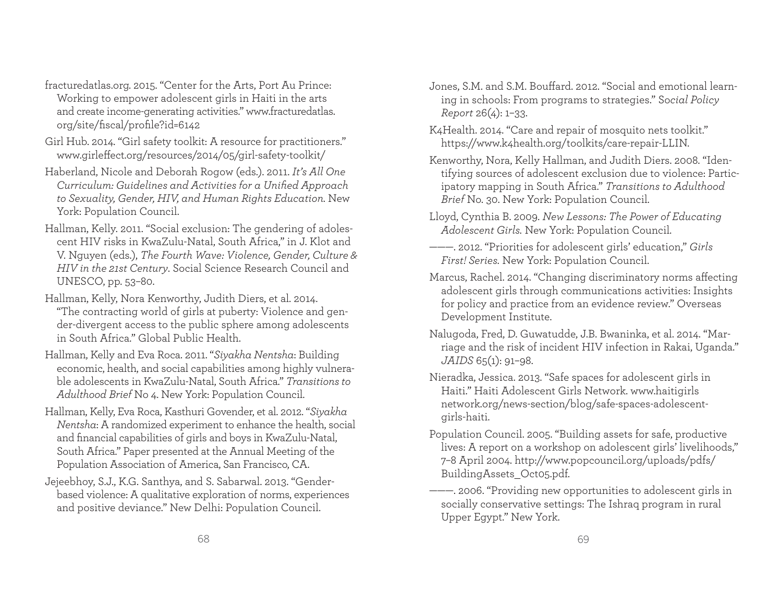- fracturedatlas.org. 2015. "Center for the Arts, Port Au Prince: Working to empower adolescent girls in Haiti in the arts and create income-generating activities." www.fracturedatlas. org/site/fiscal/profile?id=6142
- Girl Hub. 2014. "Girl safety toolkit: A resource for practitioners." www.girleffect.org/resources/2014/05/girl-safety-toolkit/
- Haberland, Nicole and Deborah Rogow (eds.). 2011. *It's All One Curriculum: Guidelines and Activities for a Unified Approach to Sexuality, Gender, HIV, and Human Rights Education.* New York: Population Council.
- Hallman, Kelly. 2011. "Social exclusion: The gendering of adolescent HIV risks in KwaZulu-Natal, South Africa," in J. Klot and V. Nguyen (eds.), *The Fourth Wave: Violence, Gender, Culture & HIV in the 21st Century*. Social Science Research Council and UNESCO, pp. 53–80.
- Hallman, Kelly, Nora Kenworthy, Judith Diers, et al. 2014. "The contracting world of girls at puberty: Violence and gender-divergent access to the public sphere among adolescents in South Africa." Global Public Health.
- Hallman, Kelly and Eva Roca. 2011. "*Siyakha Nentsha*: Building economic, health, and social capabilities among highly vulnerable adolescents in KwaZulu-Natal, South Africa." *Transitions to Adulthood Brief* No 4. New York: Population Council.
- Hallman, Kelly, Eva Roca, Kasthuri Govender, et al. 2012. "*Siyakha Nentsha*: A randomized experiment to enhance the health, social and financial capabilities of girls and boys in KwaZulu-Natal, South Africa." Paper presented at the Annual Meeting of the Population Association of America, San Francisco, CA.
- Jejeebhoy, S.J., K.G. Santhya, and S. Sabarwal. 2013. "Genderbased violence: A qualitative exploration of norms, experiences and positive deviance." New Delhi: Population Council.
- Jones, S.M. and S.M. Bouffard. 2012. "Social and emotional learning in schools: From programs to strategies." So*cial Policy Report* 26(4): 1–33.
- K4Health. 2014. "Care and repair of mosquito nets toolkit." https://www.k4health.org/toolkits/care-repair-LLIN.
- Kenworthy, Nora, Kelly Hallman, and Judith Diers. 2008. "Identifying sources of adolescent exclusion due to violence: Participatory mapping in South Africa." *Transitions to Adulthood Brief* No. 30. New York: Population Council.
- Lloyd, Cynthia B. 2009. *New Lessons: The Power of Educating Adolescent Girls.* New York: Population Council.
- ———. 2012. "Priorities for adolescent girls' education," *Girls First! Series.* New York: Population Council.
- Marcus, Rachel. 2014. "Changing discriminatory norms affecting adolescent girls through communications activities: Insights for policy and practice from an evidence review." Overseas Development Institute.
- Nalugoda, Fred, D. Guwatudde, J.B. Bwaninka, et al. 2014. "Marriage and the risk of incident HIV infection in Rakai, Uganda." *JAIDS* 65(1): 91–98.
- Nieradka, Jessica. 2013. "Safe spaces for adolescent girls in Haiti." Haiti Adolescent Girls Network. www.haitigirls network.org/news-section/blog/safe-spaces-adolescent<sup>g</sup>irls-haiti.
- Population Council. 2005. "Building assets for safe, productive lives: A report on a workshop on adolescent girls' livelihoods," 7–8 April 2004. http://www.popcouncil.org/uploads/pdfs/ BuildingAssets\_Oct05.pdf.
- ———. 2006. "Providing new opportunities to adolescent girls in socially conservative settings: The Ishraq program in rural Upper Egypt." New York.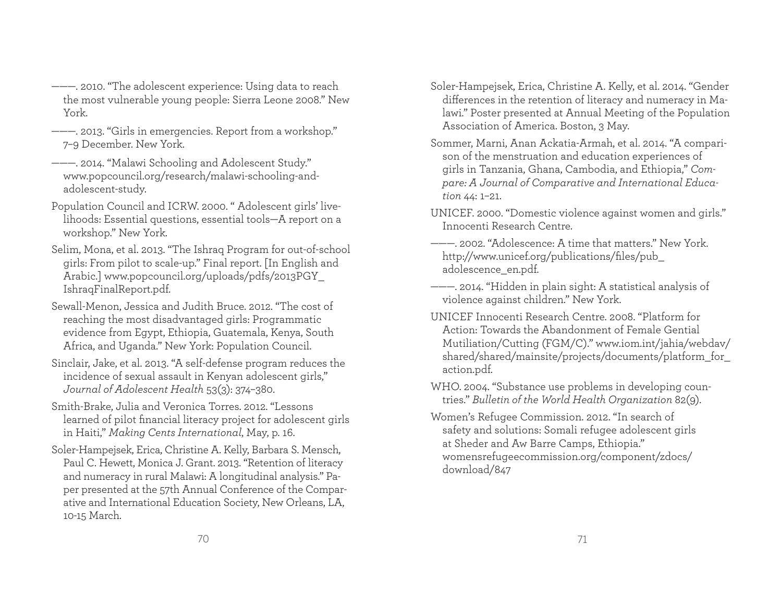- ———. 2010. "The adolescent experience: Using data to reach the most vulnerable young people: Sierra Leone 2008." New York.
- ———. 2013. "Girls in emergencies. Report from a workshop." 7–9 December. New York.
- ———. 2014. "Malawi Schooling and Adolescent Study." www.popcouncil.org/research/malawi-schooling-andadolescent-study.
- Population Council and ICRW. 2000. " Adolescent girls' livelihoods: Essential questions, essential tools—A report on a workshop." New York.
- Selim, Mona, et al. 2013. "The Ishraq Program for out-of-school <sup>g</sup>irls: From pilot to scale-up." Final report. [In English and Arabic.] www.popcouncil.org/uploads/pdfs/2013PGY\_ IshraqFinalReport.pdf.
- Sewall-Menon, Jessica and Judith Bruce. 2012. "The cost of reaching the most disadvantaged girls: Programmatic evidence from Egypt, Ethiopia, Guatemala, Kenya, South Africa, and Uganda." New York: Population Council.
- Sinclair, Jake, et al. 2013. "A self-defense program reduces the incidence of sexual assault in Kenyan adolescent girls," *Journal of Adolescent Health* 53(3): 374–380.
- Smith-Brake, Julia and Veronica Torres. 2012. "Lessons learned of pilot financial literacy project for adolescent girls in Haiti," *Making Cents International*, May, p. 16.
- Soler-Hampejsek, Erica, Christine A. Kelly, Barbara S. Mensch, Paul C. Hewett, Monica J. Grant. 2013. "Retention of literacy and numeracy in rural Malawi: A longitudinal analysis." Paper presented at the 57th Annual Conference of the Comparative and International Education Society, New Orleans, LA, 10-15 March.
- Soler-Hampejsek, Erica, Christine A. Kelly, et al. 2014. "Gender differences in the retention of literacy and numeracy in Malawi." Poster presented at Annual Meeting of the Population Association of America. Boston, 3 May.
- Sommer, Marni, Anan Ackatia-Armah, et al. 2014. "A comparison of the menstruation and education experiences of girls in Tanzania, Ghana, Cambodia, and Ethiopia," *Compare: A Journal of Comparative and International Education* 44: 1–21.
- UNICEF. 2000. "Domestic violence against women and girls." Innocenti Research Centre.
- ———. 2002. "Adolescence: A time that matters." New York. http://www.unicef.org/publications/files/pub adolescence\_en.pdf.
- ———. 2014. "Hidden in plain sight: A statistical analysis of violence against children." New York.
- UNICEF Innocenti Research Centre. 2008. "Platform for Action: Towards the Abandonment of Female Gential Mutiliation/Cutting (FGM/C)." www.iom.int/jahia/webdav/ shared/shared/mainsite/projects/documents/platform\_for\_ action.pdf.
- WHO. 2004. "Substance use problems in developing countries." *Bulletin of the World Health Organization* 82(9).
- Women's Refugee Commission. 2012. "In search of safety and solutions: Somali refugee adolescent girls at Sheder and Aw Barre Camps, Ethiopia." womensrefugeecommission.org/component/zdocs/ download/847